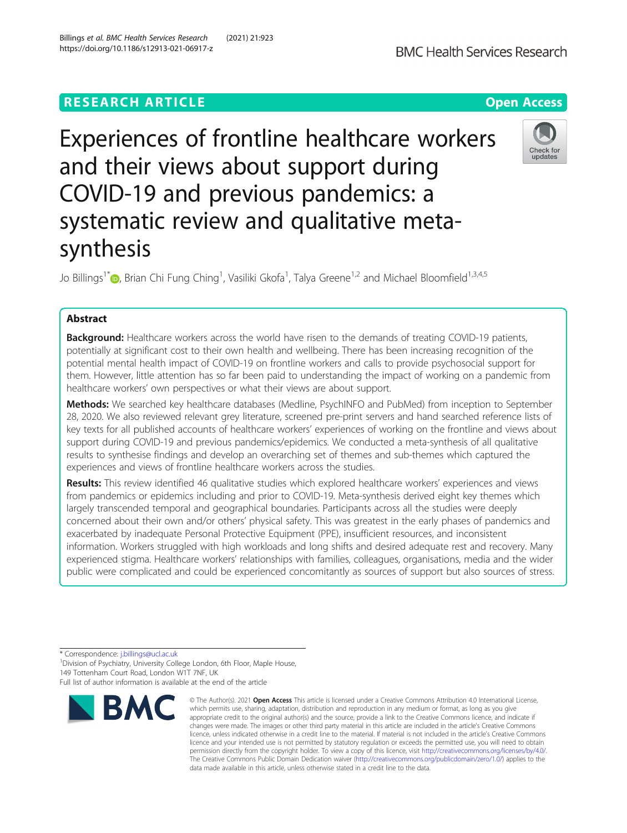# **RESEARCH ARTICLE Example 2014 12:30 The Contract of Contract ACCESS**

Experiences of frontline healthcare workers and their views about support during COVID-19 and previous pandemics: a systematic review and qualitative metasynthesis

Jo Billings<sup>1\*</sup>®[,](http://orcid.org/0000-0003-1238-2440) Brian Chi Fung Ching<sup>1</sup>, Vasiliki Gkofa<sup>1</sup>, Talya Greene<sup>1,2</sup> and Michael Bloomfield<sup>1,3,4,5</sup>

## Abstract

Background: Healthcare workers across the world have risen to the demands of treating COVID-19 patients, potentially at significant cost to their own health and wellbeing. There has been increasing recognition of the potential mental health impact of COVID-19 on frontline workers and calls to provide psychosocial support for them. However, little attention has so far been paid to understanding the impact of working on a pandemic from healthcare workers' own perspectives or what their views are about support.

Methods: We searched key healthcare databases (Medline, PsychINFO and PubMed) from inception to September 28, 2020. We also reviewed relevant grey literature, screened pre-print servers and hand searched reference lists of key texts for all published accounts of healthcare workers' experiences of working on the frontline and views about support during COVID-19 and previous pandemics/epidemics. We conducted a meta-synthesis of all qualitative results to synthesise findings and develop an overarching set of themes and sub-themes which captured the experiences and views of frontline healthcare workers across the studies.

Results: This review identified 46 qualitative studies which explored healthcare workers' experiences and views from pandemics or epidemics including and prior to COVID-19. Meta-synthesis derived eight key themes which largely transcended temporal and geographical boundaries. Participants across all the studies were deeply concerned about their own and/or others' physical safety. This was greatest in the early phases of pandemics and exacerbated by inadequate Personal Protective Equipment (PPE), insufficient resources, and inconsistent information. Workers struggled with high workloads and long shifts and desired adequate rest and recovery. Many experienced stigma. Healthcare workers' relationships with families, colleagues, organisations, media and the wider public were complicated and could be experienced concomitantly as sources of support but also sources of stress.

\* Correspondence: [j.billings@ucl.ac.uk](mailto:j.billings@ucl.ac.uk) <sup>1</sup>

**BMC** 

<sup>1</sup> Division of Psychiatry, University College London, 6th Floor, Maple House, 149 Tottenham Court Road, London W1T 7NF, UK

appropriate credit to the original author(s) and the source, provide a link to the Creative Commons licence, and indicate if changes were made. The images or other third party material in this article are included in the article's Creative Commons licence, unless indicated otherwise in a credit line to the material. If material is not included in the article's Creative Commons licence and your intended use is not permitted by statutory regulation or exceeds the permitted use, you will need to obtain permission directly from the copyright holder. To view a copy of this licence, visit [http://creativecommons.org/licenses/by/4.0/.](http://creativecommons.org/licenses/by/4.0/) The Creative Commons Public Domain Dedication waiver [\(http://creativecommons.org/publicdomain/zero/1.0/](http://creativecommons.org/publicdomain/zero/1.0/)) applies to the data made available in this article, unless otherwise stated in a credit line to the data.

© The Author(s), 2021 **Open Access** This article is licensed under a Creative Commons Attribution 4.0 International License, which permits use, sharing, adaptation, distribution and reproduction in any medium or format, as long as you give







Full list of author information is available at the end of the article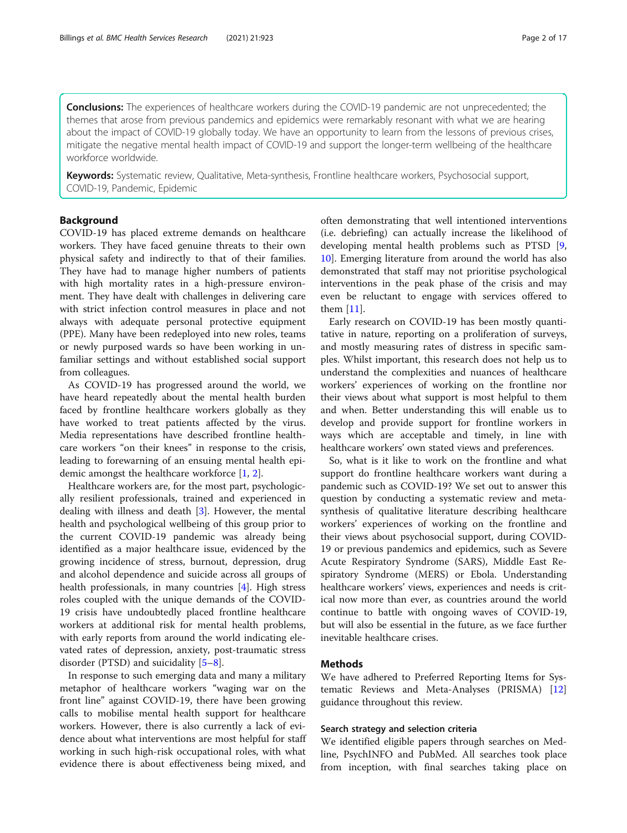**Conclusions:** The experiences of healthcare workers during the COVID-19 pandemic are not unprecedented; the themes that arose from previous pandemics and epidemics were remarkably resonant with what we are hearing about the impact of COVID-19 globally today. We have an opportunity to learn from the lessons of previous crises, mitigate the negative mental health impact of COVID-19 and support the longer-term wellbeing of the healthcare workforce worldwide.

Keywords: Systematic review, Qualitative, Meta-synthesis, Frontline healthcare workers, Psychosocial support, COVID-19, Pandemic, Epidemic

## Background

COVID-19 has placed extreme demands on healthcare workers. They have faced genuine threats to their own physical safety and indirectly to that of their families. They have had to manage higher numbers of patients with high mortality rates in a high-pressure environment. They have dealt with challenges in delivering care with strict infection control measures in place and not always with adequate personal protective equipment (PPE). Many have been redeployed into new roles, teams or newly purposed wards so have been working in unfamiliar settings and without established social support from colleagues.

As COVID-19 has progressed around the world, we have heard repeatedly about the mental health burden faced by frontline healthcare workers globally as they have worked to treat patients affected by the virus. Media representations have described frontline healthcare workers "on their knees" in response to the crisis, leading to forewarning of an ensuing mental health epidemic amongst the healthcare workforce [[1,](#page-14-0) [2\]](#page-14-0).

Healthcare workers are, for the most part, psychologically resilient professionals, trained and experienced in dealing with illness and death [[3\]](#page-14-0). However, the mental health and psychological wellbeing of this group prior to the current COVID-19 pandemic was already being identified as a major healthcare issue, evidenced by the growing incidence of stress, burnout, depression, drug and alcohol dependence and suicide across all groups of health professionals, in many countries [\[4](#page-14-0)]. High stress roles coupled with the unique demands of the COVID-19 crisis have undoubtedly placed frontline healthcare workers at additional risk for mental health problems, with early reports from around the world indicating elevated rates of depression, anxiety, post-traumatic stress disorder (PTSD) and suicidality [[5](#page-14-0)–[8\]](#page-14-0).

In response to such emerging data and many a military metaphor of healthcare workers "waging war on the front line" against COVID-19, there have been growing calls to mobilise mental health support for healthcare workers. However, there is also currently a lack of evidence about what interventions are most helpful for staff working in such high-risk occupational roles, with what evidence there is about effectiveness being mixed, and

often demonstrating that well intentioned interventions (i.e. debriefing) can actually increase the likelihood of developing mental health problems such as PTSD [\[9](#page-14-0), [10\]](#page-14-0). Emerging literature from around the world has also demonstrated that staff may not prioritise psychological interventions in the peak phase of the crisis and may even be reluctant to engage with services offered to them [[11\]](#page-14-0).

Early research on COVID-19 has been mostly quantitative in nature, reporting on a proliferation of surveys, and mostly measuring rates of distress in specific samples. Whilst important, this research does not help us to understand the complexities and nuances of healthcare workers' experiences of working on the frontline nor their views about what support is most helpful to them and when. Better understanding this will enable us to develop and provide support for frontline workers in ways which are acceptable and timely, in line with healthcare workers' own stated views and preferences.

So, what is it like to work on the frontline and what support do frontline healthcare workers want during a pandemic such as COVID-19? We set out to answer this question by conducting a systematic review and metasynthesis of qualitative literature describing healthcare workers' experiences of working on the frontline and their views about psychosocial support, during COVID-19 or previous pandemics and epidemics, such as Severe Acute Respiratory Syndrome (SARS), Middle East Respiratory Syndrome (MERS) or Ebola. Understanding healthcare workers' views, experiences and needs is critical now more than ever, as countries around the world continue to battle with ongoing waves of COVID-19, but will also be essential in the future, as we face further inevitable healthcare crises.

## Methods

We have adhered to Preferred Reporting Items for Systematic Reviews and Meta-Analyses (PRISMA) [[12](#page-14-0)] guidance throughout this review.

## Search strategy and selection criteria

We identified eligible papers through searches on Medline, PsychINFO and PubMed. All searches took place from inception, with final searches taking place on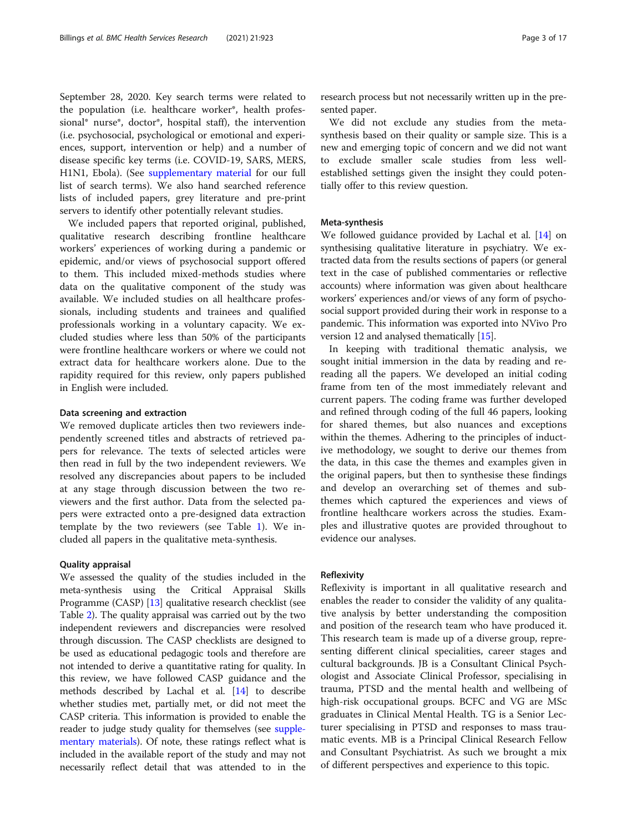September 28, 2020. Key search terms were related to the population (i.e. healthcare worker\*, health professional\* nurse\*, doctor\*, hospital staff), the intervention (i.e. psychosocial, psychological or emotional and experiences, support, intervention or help) and a number of disease specific key terms (i.e. COVID-19, SARS, MERS, H1N1, Ebola). (See [supplementary material](#page-14-0) for our full list of search terms). We also hand searched reference lists of included papers, grey literature and pre-print servers to identify other potentially relevant studies.

We included papers that reported original, published, qualitative research describing frontline healthcare workers' experiences of working during a pandemic or epidemic, and/or views of psychosocial support offered to them. This included mixed-methods studies where data on the qualitative component of the study was available. We included studies on all healthcare professionals, including students and trainees and qualified professionals working in a voluntary capacity. We excluded studies where less than 50% of the participants were frontline healthcare workers or where we could not extract data for healthcare workers alone. Due to the rapidity required for this review, only papers published in English were included.

#### Data screening and extraction

We removed duplicate articles then two reviewers independently screened titles and abstracts of retrieved papers for relevance. The texts of selected articles were then read in full by the two independent reviewers. We resolved any discrepancies about papers to be included at any stage through discussion between the two reviewers and the first author. Data from the selected papers were extracted onto a pre-designed data extraction template by the two reviewers (see Table [1\)](#page-3-0). We included all papers in the qualitative meta-synthesis.

## Quality appraisal

We assessed the quality of the studies included in the meta-synthesis using the Critical Appraisal Skills Programme (CASP) [\[13\]](#page-14-0) qualitative research checklist (see Table [2](#page-6-0)). The quality appraisal was carried out by the two independent reviewers and discrepancies were resolved through discussion. The CASP checklists are designed to be used as educational pedagogic tools and therefore are not intended to derive a quantitative rating for quality. In this review, we have followed CASP guidance and the methods described by Lachal et al. [[14](#page-14-0)] to describe whether studies met, partially met, or did not meet the CASP criteria. This information is provided to enable the reader to judge study quality for themselves (see [supple](#page-14-0)[mentary materials\)](#page-14-0). Of note, these ratings reflect what is included in the available report of the study and may not necessarily reflect detail that was attended to in the research process but not necessarily written up in the presented paper.

We did not exclude any studies from the metasynthesis based on their quality or sample size. This is a new and emerging topic of concern and we did not want to exclude smaller scale studies from less wellestablished settings given the insight they could potentially offer to this review question.

## Meta-synthesis

We followed guidance provided by Lachal et al. [\[14\]](#page-14-0) on synthesising qualitative literature in psychiatry. We extracted data from the results sections of papers (or general text in the case of published commentaries or reflective accounts) where information was given about healthcare workers' experiences and/or views of any form of psychosocial support provided during their work in response to a pandemic. This information was exported into NVivo Pro version 12 and analysed thematically [\[15](#page-14-0)].

In keeping with traditional thematic analysis, we sought initial immersion in the data by reading and rereading all the papers. We developed an initial coding frame from ten of the most immediately relevant and current papers. The coding frame was further developed and refined through coding of the full 46 papers, looking for shared themes, but also nuances and exceptions within the themes. Adhering to the principles of inductive methodology, we sought to derive our themes from the data, in this case the themes and examples given in the original papers, but then to synthesise these findings and develop an overarching set of themes and subthemes which captured the experiences and views of frontline healthcare workers across the studies. Examples and illustrative quotes are provided throughout to evidence our analyses.

#### Reflexivity

Reflexivity is important in all qualitative research and enables the reader to consider the validity of any qualitative analysis by better understanding the composition and position of the research team who have produced it. This research team is made up of a diverse group, representing different clinical specialities, career stages and cultural backgrounds. JB is a Consultant Clinical Psychologist and Associate Clinical Professor, specialising in trauma, PTSD and the mental health and wellbeing of high-risk occupational groups. BCFC and VG are MSc graduates in Clinical Mental Health. TG is a Senior Lecturer specialising in PTSD and responses to mass traumatic events. MB is a Principal Clinical Research Fellow and Consultant Psychiatrist. As such we brought a mix of different perspectives and experience to this topic.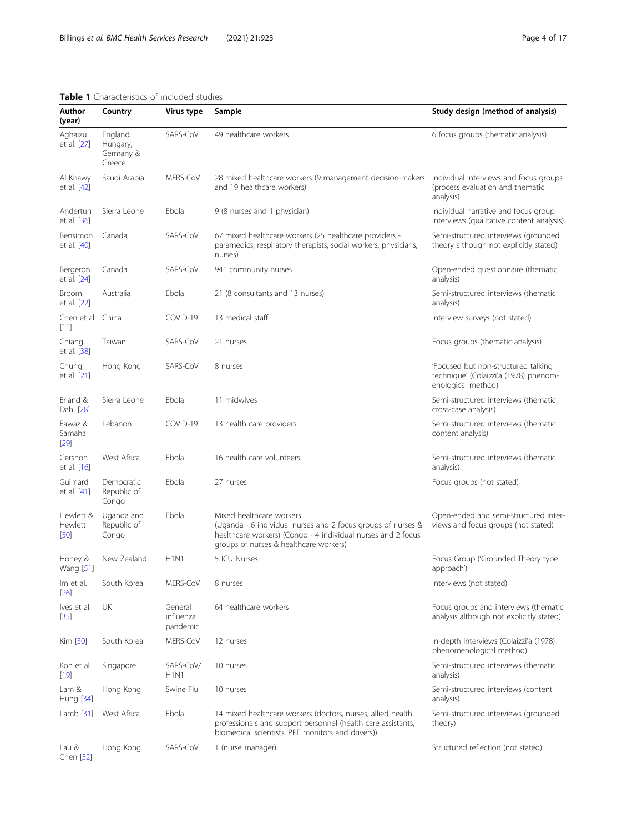<span id="page-3-0"></span>Author (year)

Aghaizu et al. [\[27](#page-15-0)]

Al Knawy et al. [\[42](#page-15-0)]

Andertun et al. [\[36](#page-15-0)]

Bensimon et al. [\[40](#page-15-0)]

Bergeron et al. [\[24](#page-15-0)]

Broom et al. [\[22](#page-15-0)]

[[11](#page-14-0)]

Chiang, et al. [\[38](#page-15-0)]

Chung, et al. [\[21](#page-15-0)]

Erland & Dahl [[28](#page-15-0)]

Fawaz & Samaha [[29](#page-15-0)]

Gershon et al. [\[16](#page-14-0)]

Guimard et al. [\[41](#page-15-0)]

Chen [[52\]](#page-15-0)

Chen et al. China

| Country                                     | Virus type | Sample                                                                                                                                                                                             | Study design (method of analysis)<br>6 focus groups (thematic analysis)                            |  |  |  |
|---------------------------------------------|------------|----------------------------------------------------------------------------------------------------------------------------------------------------------------------------------------------------|----------------------------------------------------------------------------------------------------|--|--|--|
| England,<br>Hungary,<br>Germany &<br>Greece | SARS-CoV   | 49 healthcare workers                                                                                                                                                                              |                                                                                                    |  |  |  |
| Saudi Arabia                                | MERS-CoV   | 28 mixed healthcare workers (9 management decision-makers<br>and 19 healthcare workers)                                                                                                            | Individual interviews and focus groups<br>(process evaluation and thematic<br>analysis)            |  |  |  |
| Sierra Leone                                | Ebola      | 9 (8 nurses and 1 physician)                                                                                                                                                                       | Individual narrative and focus group<br>interviews (qualitative content analysis)                  |  |  |  |
| Canada                                      | SARS-CoV   | 67 mixed healthcare workers (25 healthcare providers -<br>paramedics, respiratory therapists, social workers, physicians,<br>nurses)                                                               | Semi-structured interviews (grounded<br>theory although not explicitly stated)                     |  |  |  |
| Canada                                      | SARS-CoV   | 941 community nurses                                                                                                                                                                               | Open-ended questionnaire (thematic<br>analysis)                                                    |  |  |  |
| Australia                                   | Ebola      | 21 (8 consultants and 13 nurses)                                                                                                                                                                   | Semi-structured interviews (thematic<br>analysis)                                                  |  |  |  |
| China                                       | COVID-19   | 13 medical staff                                                                                                                                                                                   | Interview surveys (not stated)                                                                     |  |  |  |
| Taiwan                                      | SARS-CoV   | 21 nurses                                                                                                                                                                                          | Focus groups (thematic analysis)                                                                   |  |  |  |
| Hong Kong                                   | SARS-CoV   | 8 nurses                                                                                                                                                                                           | 'Focused but non-structured talking<br>technique' (Colaizzi'a (1978) phenom-<br>enological method) |  |  |  |
| Sierra Leone                                | Ebola      | 11 midwives                                                                                                                                                                                        | Semi-structured interviews (thematic<br>cross-case analysis)                                       |  |  |  |
| Lebanon                                     | COVID-19   | 13 health care providers                                                                                                                                                                           | Semi-structured interviews (thematic<br>content analysis)                                          |  |  |  |
| West Africa                                 | Fbola      | 16 health care volunteers                                                                                                                                                                          | Semi-structured interviews (thematic<br>analysis)                                                  |  |  |  |
| Democratic<br>Republic of<br>Congo          | Ebola      | 27 nurses                                                                                                                                                                                          | Focus groups (not stated)                                                                          |  |  |  |
| Uganda and<br>Republic of<br>Congo          | Fbola      | Mixed healthcare workers<br>(Uganda - 6 individual nurses and 2 focus groups of nurses &<br>healthcare workers) (Congo - 4 individual nurses and 2 focus<br>groups of nurses & healthcare workers) | Open-ended and semi-structured inter-<br>views and focus groups (not stated)                       |  |  |  |

| Hewlett &<br>Hewlett<br>[50] | Uganda and<br>Republic of<br>Congo | Ebola                            | Mixed healthcare workers<br>(Uganda - 6 individual nurses and 2 focus groups of nurses &<br>healthcare workers) (Congo - 4 individual nurses and 2 focus<br>groups of nurses & healthcare workers) | Open-ended and semi-structured inter<br>views and focus groups (not stated)       |
|------------------------------|------------------------------------|----------------------------------|----------------------------------------------------------------------------------------------------------------------------------------------------------------------------------------------------|-----------------------------------------------------------------------------------|
| Honey &<br>Wang [51]         | New Zealand                        | H1N1                             | 5 ICU Nurses                                                                                                                                                                                       | Focus Group ('Grounded Theory type<br>approach <sup>'</sup>                       |
| Im et al.<br>$[26]$          | South Korea                        | MERS-CoV                         | 8 nurses                                                                                                                                                                                           | Interviews (not stated)                                                           |
| Ives et al.<br>$[35]$        | UK                                 | General<br>influenza<br>pandemic | 64 healthcare workers                                                                                                                                                                              | Focus groups and interviews (thematic<br>analysis although not explicitly stated) |
| Kim [30]                     | South Korea                        | MERS-CoV                         | 12 nurses                                                                                                                                                                                          | In-depth interviews (Colaizzi'a (1978)<br>phenomenological method)                |
| Koh et al.<br>$[19]$         | Singapore                          | SARS-CoV/<br>H1N1                | 10 nurses                                                                                                                                                                                          | Semi-structured interviews (thematic<br>analysis)                                 |
| Lam &<br>Hung [34]           | Hong Kong                          | Swine Flu                        | 10 nurses                                                                                                                                                                                          | Semi-structured interviews (content<br>analysis)                                  |
| Lamb $[31]$                  | West Africa                        | Ebola                            | 14 mixed healthcare workers (doctors, nurses, allied health<br>professionals and support personnel (health care assistants,<br>biomedical scientists, PPE monitors and drivers))                   | Semi-structured interviews (grounded<br>theory)                                   |
| Lau &                        | Hong Kong                          | SARS-CoV                         | 1 (nurse manager)                                                                                                                                                                                  | Structured reflection (not stated)                                                |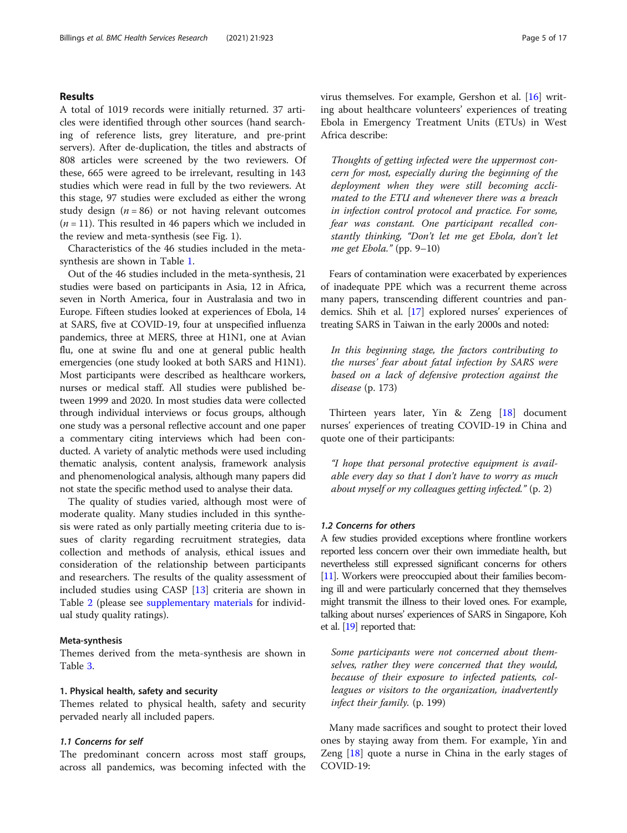## Results

A total of 1019 records were initially returned. 37 articles were identified through other sources (hand searching of reference lists, grey literature, and pre-print servers). After de-duplication, the titles and abstracts of 808 articles were screened by the two reviewers. Of these, 665 were agreed to be irrelevant, resulting in 143 studies which were read in full by the two reviewers. At this stage, 97 studies were excluded as either the wrong study design  $(n = 86)$  or not having relevant outcomes  $(n = 11)$ . This resulted in 46 papers which we included in the review and meta-synthesis (see Fig. 1).

Characteristics of the 46 studies included in the metasynthesis are shown in Table [1.](#page-3-0)

Out of the 46 studies included in the meta-synthesis, 21 studies were based on participants in Asia, 12 in Africa, seven in North America, four in Australasia and two in Europe. Fifteen studies looked at experiences of Ebola, 14 at SARS, five at COVID-19, four at unspecified influenza pandemics, three at MERS, three at H1N1, one at Avian flu, one at swine flu and one at general public health emergencies (one study looked at both SARS and H1N1). Most participants were described as healthcare workers, nurses or medical staff. All studies were published between 1999 and 2020. In most studies data were collected through individual interviews or focus groups, although one study was a personal reflective account and one paper a commentary citing interviews which had been conducted. A variety of analytic methods were used including thematic analysis, content analysis, framework analysis and phenomenological analysis, although many papers did not state the specific method used to analyse their data.

The quality of studies varied, although most were of moderate quality. Many studies included in this synthesis were rated as only partially meeting criteria due to issues of clarity regarding recruitment strategies, data collection and methods of analysis, ethical issues and consideration of the relationship between participants and researchers. The results of the quality assessment of included studies using CASP [\[13](#page-14-0)] criteria are shown in Table [2](#page-6-0) (please see [supplementary materials](#page-14-0) for individual study quality ratings).

#### Meta-synthesis

Themes derived from the meta-synthesis are shown in Table [3.](#page-7-0)

## 1. Physical health, safety and security

Themes related to physical health, safety and security pervaded nearly all included papers.

## 1.1 Concerns for self

The predominant concern across most staff groups, across all pandemics, was becoming infected with the virus themselves. For example, Gershon et al. [[16\]](#page-14-0) writing about healthcare volunteers' experiences of treating Ebola in Emergency Treatment Units (ETUs) in West Africa describe:

Thoughts of getting infected were the uppermost concern for most, especially during the beginning of the deployment when they were still becoming acclimated to the ETU and whenever there was a breach in infection control protocol and practice. For some, fear was constant. One participant recalled constantly thinking, "Don't let me get Ebola, don't let me get Ebola." (pp. 9–10)

Fears of contamination were exacerbated by experiences of inadequate PPE which was a recurrent theme across many papers, transcending different countries and pandemics. Shih et al. [[17](#page-14-0)] explored nurses' experiences of treating SARS in Taiwan in the early 2000s and noted:

In this beginning stage, the factors contributing to the nurses' fear about fatal infection by SARS were based on a lack of defensive protection against the disease (p. 173)

Thirteen years later, Yin & Zeng [\[18](#page-14-0)] document nurses' experiences of treating COVID-19 in China and quote one of their participants:

"I hope that personal protective equipment is available every day so that I don't have to worry as much about myself or my colleagues getting infected." (p. 2)

### 1.2 Concerns for others

A few studies provided exceptions where frontline workers reported less concern over their own immediate health, but nevertheless still expressed significant concerns for others [[11\]](#page-14-0). Workers were preoccupied about their families becoming ill and were particularly concerned that they themselves might transmit the illness to their loved ones. For example, talking about nurses' experiences of SARS in Singapore, Koh et al. [\[19](#page-14-0)] reported that:

Some participants were not concerned about themselves, rather they were concerned that they would, because of their exposure to infected patients, colleagues or visitors to the organization, inadvertently infect their family. (p. 199)

Many made sacrifices and sought to protect their loved ones by staying away from them. For example, Yin and Zeng [\[18](#page-14-0)] quote a nurse in China in the early stages of COVID-19: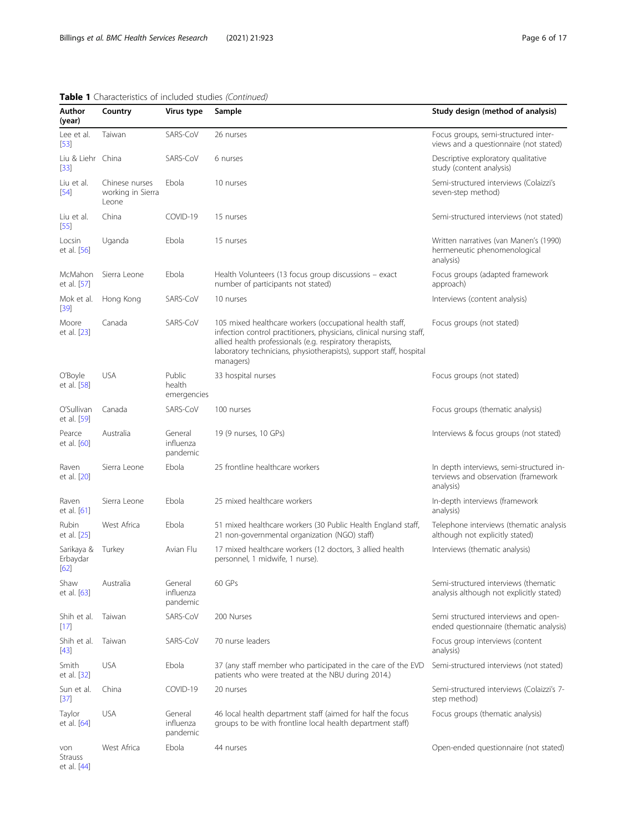## Table 1 Characteristics of included studies (Continued)

| Author<br>(year)                 | Country                                      | Virus type                       | Sample                                                                                                                                                                                                                                                                           | Study design (method of analysis)                                                            |  |
|----------------------------------|----------------------------------------------|----------------------------------|----------------------------------------------------------------------------------------------------------------------------------------------------------------------------------------------------------------------------------------------------------------------------------|----------------------------------------------------------------------------------------------|--|
| Lee et al.<br>[53]               | Taiwan                                       | SARS-CoV                         | 26 nurses                                                                                                                                                                                                                                                                        | Focus groups, semi-structured inter-<br>views and a questionnaire (not stated)               |  |
| Liu & Liehr China<br>$[33]$      |                                              | SARS-CoV                         | 6 nurses                                                                                                                                                                                                                                                                         | Descriptive exploratory qualitative<br>study (content analysis)                              |  |
| Liu et al.<br>[54]               | Chinese nurses<br>working in Sierra<br>Leone | Fbola                            | 10 nurses                                                                                                                                                                                                                                                                        | Semi-structured interviews (Colaizzi's<br>seven-step method)                                 |  |
| Liu et al.<br>$[55]$             | China                                        | COVID-19                         | 15 nurses                                                                                                                                                                                                                                                                        | Semi-structured interviews (not stated)                                                      |  |
| Locsin<br>et al. [56]            | Uganda                                       | Ebola                            | 15 nurses                                                                                                                                                                                                                                                                        | Written narratives (van Manen's (1990)<br>hermeneutic phenomenological<br>analysis)          |  |
| McMahon<br>et al. [57]           | Sierra Leone                                 | Ebola                            | Health Volunteers (13 focus group discussions - exact<br>number of participants not stated)                                                                                                                                                                                      | Focus groups (adapted framework<br>approach)                                                 |  |
| Mok et al.<br>[39]               | Hong Kong                                    | SARS-CoV                         | 10 nurses                                                                                                                                                                                                                                                                        | Interviews (content analysis)                                                                |  |
| Moore<br>et al. [23]             | Canada                                       | SARS-CoV                         | 105 mixed healthcare workers (occupational health staff,<br>infection control practitioners, physicians, clinical nursing staff,<br>allied health professionals (e.g. respiratory therapists,<br>laboratory technicians, physiotherapists), support staff, hospital<br>managers) | Focus groups (not stated)                                                                    |  |
| O'Boyle<br>et al. [58]           | <b>USA</b>                                   | Public<br>health<br>emergencies  | 33 hospital nurses                                                                                                                                                                                                                                                               | Focus groups (not stated)                                                                    |  |
| O'Sullivan<br>et al. [59]        | Canada                                       | SARS-CoV                         | 100 nurses                                                                                                                                                                                                                                                                       | Focus groups (thematic analysis)                                                             |  |
| Pearce<br>et al. [60]            | Australia                                    | General<br>influenza<br>pandemic | 19 (9 nurses, 10 GPs)                                                                                                                                                                                                                                                            | Interviews & focus groups (not stated)                                                       |  |
| Raven<br>et al. [20]             | Sierra Leone                                 | Ebola                            | 25 frontline healthcare workers                                                                                                                                                                                                                                                  | In depth interviews, semi-structured in-<br>terviews and observation (framework<br>analysis) |  |
| Raven<br>et al. [61]             | Sierra Leone                                 | Ebola                            | 25 mixed healthcare workers                                                                                                                                                                                                                                                      | In-depth interviews (framework<br>analysis)                                                  |  |
| Rubin<br>et al. [25]             | West Africa                                  | Ebola                            | 51 mixed healthcare workers (30 Public Health England staff,<br>21 non-governmental organization (NGO) staff)                                                                                                                                                                    | Telephone interviews (thematic analysis<br>although not explicitly stated)                   |  |
| Sarikaya &<br>Erbaydar<br>$[62]$ | Turkey                                       | Avian Flu                        | 17 mixed healthcare workers (12 doctors, 3 allied health<br>personnel, 1 midwife, 1 nurse).                                                                                                                                                                                      | Interviews (thematic analysis)                                                               |  |
| Shaw<br>et al. [63]              | Australia                                    | General<br>influenza<br>pandemic | 60 GPs                                                                                                                                                                                                                                                                           | Semi-structured interviews (thematic<br>analysis although not explicitly stated)             |  |
| Shih et al.<br>$[17]$            | Taiwan                                       | SARS-CoV                         | 200 Nurses                                                                                                                                                                                                                                                                       | Semi structured interviews and open-<br>ended questionnaire (thematic analysis)              |  |
| Shih et al.<br>$[43]$            | Taiwan                                       | SARS-CoV                         | 70 nurse leaders                                                                                                                                                                                                                                                                 | Focus group interviews (content<br>analysis)                                                 |  |
| Smith<br>et al. [32]             | <b>USA</b>                                   | Ebola                            | 37 (any staff member who participated in the care of the EVD<br>patients who were treated at the NBU during 2014.)                                                                                                                                                               | Semi-structured interviews (not stated)                                                      |  |
| Sun et al.<br>[37]               | China                                        | COVID-19                         | 20 nurses                                                                                                                                                                                                                                                                        | Semi-structured interviews (Colaizzi's 7-<br>step method)                                    |  |
| Taylor<br>et al. [64]            | <b>USA</b>                                   | General<br>influenza<br>pandemic | 46 local health department staff (aimed for half the focus<br>groups to be with frontline local health department staff)                                                                                                                                                         | Focus groups (thematic analysis)                                                             |  |
| von<br>Strauss<br>et al. [44]    | West Africa                                  | Ebola                            | 44 nurses                                                                                                                                                                                                                                                                        | Open-ended questionnaire (not stated)                                                        |  |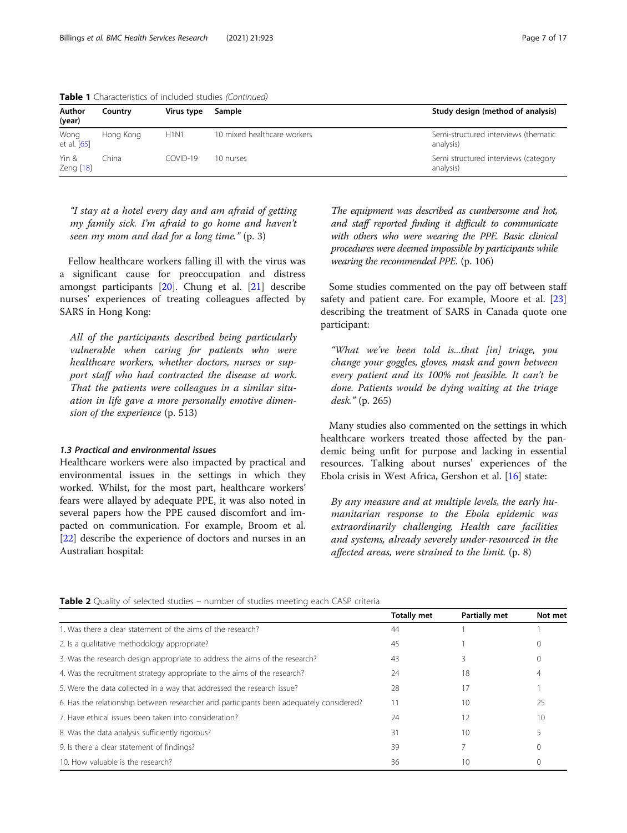| Author<br>(year)    | Country   | Virus type | Sample                      | Study design (method of analysis)                 |
|---------------------|-----------|------------|-----------------------------|---------------------------------------------------|
| Wong<br>et al. [65] | Hong Kong | H1N1       | 10 mixed healthcare workers | Semi-structured interviews (thematic<br>analysis) |
| Yin &<br>Zeng [18]  | China     | $COMID-19$ | 10 nurses                   | Semi structured interviews (category<br>analysis) |
|                     |           |            |                             |                                                   |

<span id="page-6-0"></span>Table 1 Characteristics of included studies (Continued)

"I stay at a hotel every day and am afraid of getting my family sick. I'm afraid to go home and haven't seen my mom and dad for a long time." (p. 3)

Fellow healthcare workers falling ill with the virus was a significant cause for preoccupation and distress amongst participants [[20\]](#page-15-0). Chung et al. [\[21](#page-15-0)] describe nurses' experiences of treating colleagues affected by SARS in Hong Kong:

All of the participants described being particularly vulnerable when caring for patients who were healthcare workers, whether doctors, nurses or support staff who had contracted the disease at work. That the patients were colleagues in a similar situation in life gave a more personally emotive dimension of the experience (p. 513)

## 1.3 Practical and environmental issues

Healthcare workers were also impacted by practical and environmental issues in the settings in which they worked. Whilst, for the most part, healthcare workers' fears were allayed by adequate PPE, it was also noted in several papers how the PPE caused discomfort and impacted on communication. For example, Broom et al. [[22\]](#page-15-0) describe the experience of doctors and nurses in an Australian hospital:

The equipment was described as cumbersome and hot, and staff reported finding it difficult to communicate with others who were wearing the PPE. Basic clinical procedures were deemed impossible by participants while wearing the recommended PPE. (p. 106)

Some studies commented on the pay off between staff safety and patient care. For example, Moore et al. [[23](#page-15-0)] describing the treatment of SARS in Canada quote one participant:

"What we've been told is...that [in] triage, you change your goggles, gloves, mask and gown between every patient and its 100% not feasible. It can't be done. Patients would be dying waiting at the triage desk." (p. 265)

Many studies also commented on the settings in which healthcare workers treated those affected by the pandemic being unfit for purpose and lacking in essential resources. Talking about nurses' experiences of the Ebola crisis in West Africa, Gershon et al. [[16\]](#page-14-0) state:

By any measure and at multiple levels, the early humanitarian response to the Ebola epidemic was extraordinarily challenging. Health care facilities and systems, already severely under-resourced in the affected areas, were strained to the limit. (p. 8)

| <b>Table 2</b> Quality of selected studies – number of studies meeting each CASP criteria |  |  |  |  |  |  |  |  |
|-------------------------------------------------------------------------------------------|--|--|--|--|--|--|--|--|
|-------------------------------------------------------------------------------------------|--|--|--|--|--|--|--|--|

|                                                                                         | <b>Totally met</b> | Partially met | Not met |
|-----------------------------------------------------------------------------------------|--------------------|---------------|---------|
| 1. Was there a clear statement of the aims of the research?                             | 44                 |               |         |
| 2. Is a qualitative methodology appropriate?                                            | 45                 |               |         |
| 3. Was the research design appropriate to address the aims of the research?             | 43                 |               | 0       |
| 4. Was the recruitment strategy appropriate to the aims of the research?                | 24                 | 18            | 4       |
| 5. Were the data collected in a way that addressed the research issue?                  | 28                 | 17            |         |
| 6. Has the relationship between researcher and participants been adequately considered? | 11                 | 10            | 25      |
| 7. Have ethical issues been taken into consideration?                                   | 24                 | 12            | 10      |
| 8. Was the data analysis sufficiently rigorous?                                         | 31                 | 10            |         |
| 9. Is there a clear statement of findings?                                              | 39                 |               |         |
| 10. How valuable is the research?                                                       | 36                 | 10            | 0       |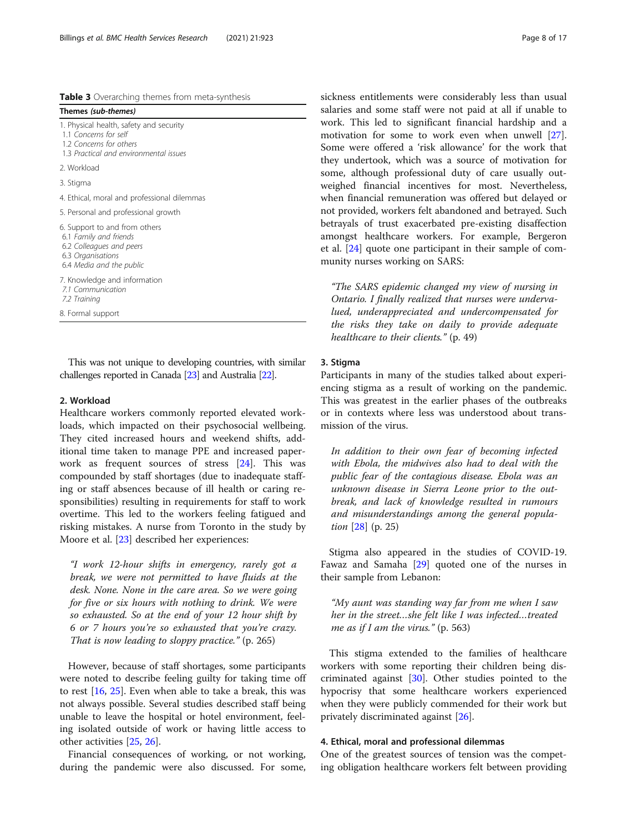<span id="page-7-0"></span>Table 3 Overarching themes from meta-synthesis

| Themes (sub-themes)                                                                                                                   |
|---------------------------------------------------------------------------------------------------------------------------------------|
| 1. Physical health, safety and security<br>1.1 Concerns for self<br>1.2 Concerns for others<br>1.3 Practical and environmental issues |
| 2. Workload                                                                                                                           |
| 3. Stigma                                                                                                                             |
| 4. Ethical, moral and professional dilemmas                                                                                           |
| 5. Personal and professional growth                                                                                                   |
| 6. Support to and from others<br>6.1 Family and friends<br>6.2 Colleagues and peers<br>6.3 Organisations<br>6.4 Media and the public  |
| 7. Knowledge and information<br>7.1 Communication<br>7.2 Training                                                                     |
| 8. Formal support                                                                                                                     |
|                                                                                                                                       |

This was not unique to developing countries, with similar challenges reported in Canada [[23\]](#page-15-0) and Australia [\[22\]](#page-15-0).

## 2. Workload

Healthcare workers commonly reported elevated workloads, which impacted on their psychosocial wellbeing. They cited increased hours and weekend shifts, additional time taken to manage PPE and increased paperwork as frequent sources of stress [[24](#page-15-0)]. This was compounded by staff shortages (due to inadequate staffing or staff absences because of ill health or caring responsibilities) resulting in requirements for staff to work overtime. This led to the workers feeling fatigued and risking mistakes. A nurse from Toronto in the study by Moore et al. [[23\]](#page-15-0) described her experiences:

"I work 12-hour shifts in emergency, rarely got a break, we were not permitted to have fluids at the desk. None. None in the care area. So we were going for five or six hours with nothing to drink. We were so exhausted. So at the end of your 12 hour shift by 6 or 7 hours you're so exhausted that you're crazy. That is now leading to sloppy practice." (p. 265)

However, because of staff shortages, some participants were noted to describe feeling guilty for taking time off to rest [[16](#page-14-0), [25](#page-15-0)]. Even when able to take a break, this was not always possible. Several studies described staff being unable to leave the hospital or hotel environment, feeling isolated outside of work or having little access to other activities [[25,](#page-15-0) [26\]](#page-15-0).

Financial consequences of working, or not working, during the pandemic were also discussed. For some, sickness entitlements were considerably less than usual salaries and some staff were not paid at all if unable to work. This led to significant financial hardship and a motivation for some to work even when unwell [\[27](#page-15-0)]. Some were offered a 'risk allowance' for the work that they undertook, which was a source of motivation for some, although professional duty of care usually outweighed financial incentives for most. Nevertheless, when financial remuneration was offered but delayed or not provided, workers felt abandoned and betrayed. Such betrayals of trust exacerbated pre-existing disaffection amongst healthcare workers. For example, Bergeron et al. [\[24](#page-15-0)] quote one participant in their sample of community nurses working on SARS:

"The SARS epidemic changed my view of nursing in Ontario. I finally realized that nurses were undervalued, underappreciated and undercompensated for the risks they take on daily to provide adequate healthcare to their clients." (p. 49)

## 3. Stigma

Participants in many of the studies talked about experiencing stigma as a result of working on the pandemic. This was greatest in the earlier phases of the outbreaks or in contexts where less was understood about transmission of the virus.

In addition to their own fear of becoming infected with Ebola, the midwives also had to deal with the public fear of the contagious disease. Ebola was an unknown disease in Sierra Leone prior to the outbreak, and lack of knowledge resulted in rumours and misunderstandings among the general population [[28\]](#page-15-0) (p. 25)

Stigma also appeared in the studies of COVID-19. Fawaz and Samaha [\[29](#page-15-0)] quoted one of the nurses in their sample from Lebanon:

"My aunt was standing way far from me when I saw her in the street...she felt like I was infected...treated me as if I am the virus."  $(p. 563)$ 

This stigma extended to the families of healthcare workers with some reporting their children being discriminated against  $[30]$  $[30]$ . Other studies pointed to the hypocrisy that some healthcare workers experienced when they were publicly commended for their work but privately discriminated against [[26](#page-15-0)].

## 4. Ethical, moral and professional dilemmas

One of the greatest sources of tension was the competing obligation healthcare workers felt between providing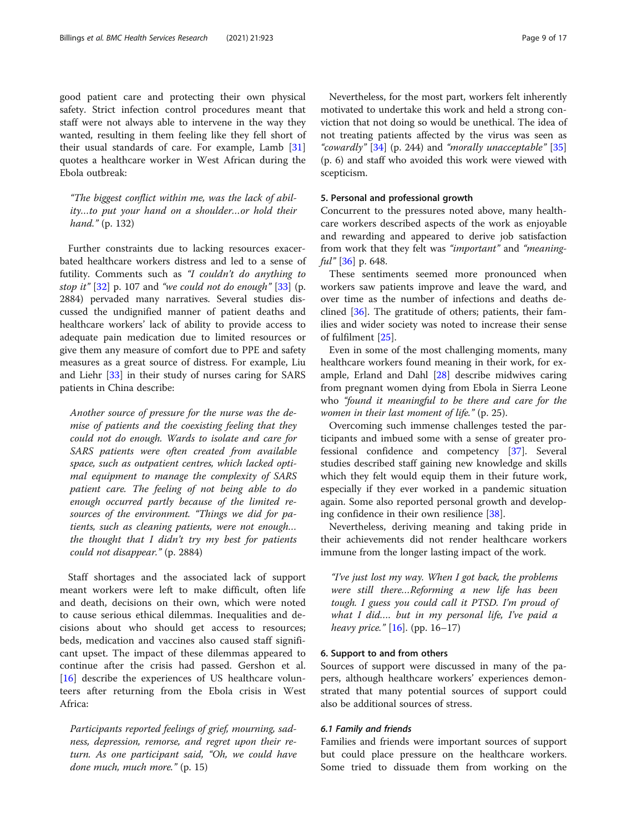good patient care and protecting their own physical safety. Strict infection control procedures meant that staff were not always able to intervene in the way they wanted, resulting in them feeling like they fell short of their usual standards of care. For example, Lamb [[31](#page-15-0)] quotes a healthcare worker in West African during the Ebola outbreak:

"The biggest conflict within me, was the lack of ability…to put your hand on a shoulder…or hold their hand." (p. 132)

Further constraints due to lacking resources exacerbated healthcare workers distress and led to a sense of futility. Comments such as "I couldn't do anything to stop it" [[32\]](#page-15-0) p. 107 and "we could not do enough" [[33\]](#page-15-0) (p. 2884) pervaded many narratives. Several studies discussed the undignified manner of patient deaths and healthcare workers' lack of ability to provide access to adequate pain medication due to limited resources or give them any measure of comfort due to PPE and safety measures as a great source of distress. For example, Liu and Liehr [[33\]](#page-15-0) in their study of nurses caring for SARS patients in China describe:

Another source of pressure for the nurse was the demise of patients and the coexisting feeling that they could not do enough. Wards to isolate and care for SARS patients were often created from available space, such as outpatient centres, which lacked optimal equipment to manage the complexity of SARS patient care. The feeling of not being able to do enough occurred partly because of the limited resources of the environment. "Things we did for patients, such as cleaning patients, were not enough… the thought that I didn't try my best for patients could not disappear." (p. 2884)

Staff shortages and the associated lack of support meant workers were left to make difficult, often life and death, decisions on their own, which were noted to cause serious ethical dilemmas. Inequalities and decisions about who should get access to resources; beds, medication and vaccines also caused staff significant upset. The impact of these dilemmas appeared to continue after the crisis had passed. Gershon et al. [[16\]](#page-14-0) describe the experiences of US healthcare volunteers after returning from the Ebola crisis in West Africa:

Participants reported feelings of grief, mourning, sadness, depression, remorse, and regret upon their return. As one participant said, "Oh, we could have done much, much more." (p. 15)

Nevertheless, for the most part, workers felt inherently motivated to undertake this work and held a strong conviction that not doing so would be unethical. The idea of not treating patients affected by the virus was seen as "cowardly"  $[34]$  $[34]$  $[34]$  (p. 244) and "morally unacceptable"  $[35]$  $[35]$  $[35]$ (p. 6) and staff who avoided this work were viewed with scepticism.

## 5. Personal and professional growth

Concurrent to the pressures noted above, many healthcare workers described aspects of the work as enjoyable and rewarding and appeared to derive job satisfaction from work that they felt was "important" and "meaning $ful''$  [\[36\]](#page-15-0) p. 648.

These sentiments seemed more pronounced when workers saw patients improve and leave the ward, and over time as the number of infections and deaths declined [\[36\]](#page-15-0). The gratitude of others; patients, their families and wider society was noted to increase their sense of fulfilment [[25](#page-15-0)].

Even in some of the most challenging moments, many healthcare workers found meaning in their work, for example, Erland and Dahl [[28\]](#page-15-0) describe midwives caring from pregnant women dying from Ebola in Sierra Leone who "found it meaningful to be there and care for the women in their last moment of life." (p. 25).

Overcoming such immense challenges tested the participants and imbued some with a sense of greater professional confidence and competency [[37\]](#page-15-0). Several studies described staff gaining new knowledge and skills which they felt would equip them in their future work, especially if they ever worked in a pandemic situation again. Some also reported personal growth and developing confidence in their own resilience [[38\]](#page-15-0).

Nevertheless, deriving meaning and taking pride in their achievements did not render healthcare workers immune from the longer lasting impact of the work.

"I've just lost my way. When I got back, the problems were still there…Reforming a new life has been tough. I guess you could call it PTSD. I'm proud of what I did…. but in my personal life, I've paid a heavy price."  $[16]$  $[16]$ . (pp. 16–17)

## 6. Support to and from others

Sources of support were discussed in many of the papers, although healthcare workers' experiences demonstrated that many potential sources of support could also be additional sources of stress.

## 6.1 Family and friends

Families and friends were important sources of support but could place pressure on the healthcare workers. Some tried to dissuade them from working on the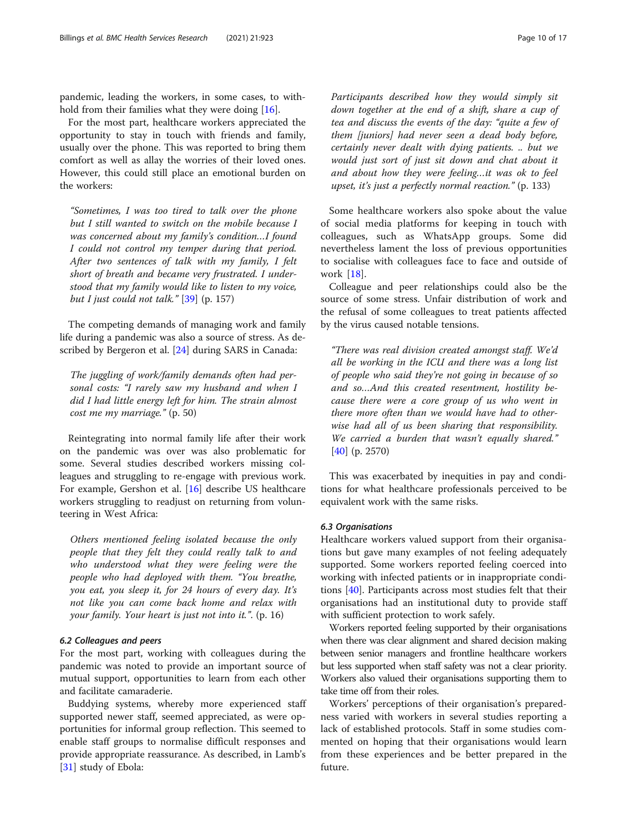pandemic, leading the workers, in some cases, to withhold from their families what they were doing [\[16](#page-14-0)].

For the most part, healthcare workers appreciated the opportunity to stay in touch with friends and family, usually over the phone. This was reported to bring them comfort as well as allay the worries of their loved ones. However, this could still place an emotional burden on the workers:

"Sometimes, I was too tired to talk over the phone but I still wanted to switch on the mobile because I was concerned about my family's condition…I found I could not control my temper during that period. After two sentences of talk with my family, I felt short of breath and became very frustrated. I understood that my family would like to listen to my voice, but I just could not talk."  $[39]$  $[39]$  (p. 157)

The competing demands of managing work and family life during a pandemic was also a source of stress. As described by Bergeron et al. [\[24\]](#page-15-0) during SARS in Canada:

The juggling of work/family demands often had personal costs: "I rarely saw my husband and when I did I had little energy left for him. The strain almost cost me my marriage." (p. 50)

Reintegrating into normal family life after their work on the pandemic was over was also problematic for some. Several studies described workers missing colleagues and struggling to re-engage with previous work. For example, Gershon et al. [\[16](#page-14-0)] describe US healthcare workers struggling to readjust on returning from volunteering in West Africa:

Others mentioned feeling isolated because the only people that they felt they could really talk to and who understood what they were feeling were the people who had deployed with them. "You breathe, you eat, you sleep it, for 24 hours of every day. It's not like you can come back home and relax with your family. Your heart is just not into it.". (p. 16)

## 6.2 Colleagues and peers

For the most part, working with colleagues during the pandemic was noted to provide an important source of mutual support, opportunities to learn from each other and facilitate camaraderie.

Buddying systems, whereby more experienced staff supported newer staff, seemed appreciated, as were opportunities for informal group reflection. This seemed to enable staff groups to normalise difficult responses and provide appropriate reassurance. As described, in Lamb's [[31\]](#page-15-0) study of Ebola:

Participants described how they would simply sit down together at the end of a shift, share a cup of tea and discuss the events of the day: "quite a few of them [juniors] had never seen a dead body before, certainly never dealt with dying patients. .. but we would just sort of just sit down and chat about it and about how they were feeling…it was ok to feel upset, it's just a perfectly normal reaction." (p. 133)

Some healthcare workers also spoke about the value of social media platforms for keeping in touch with colleagues, such as WhatsApp groups. Some did nevertheless lament the loss of previous opportunities to socialise with colleagues face to face and outside of work [[18\]](#page-14-0).

Colleague and peer relationships could also be the source of some stress. Unfair distribution of work and the refusal of some colleagues to treat patients affected by the virus caused notable tensions.

"There was real division created amongst staff. We'd all be working in the ICU and there was a long list of people who said they're not going in because of so and so…And this created resentment, hostility because there were a core group of us who went in there more often than we would have had to otherwise had all of us been sharing that responsibility. We carried a burden that wasn't equally shared." [[40\]](#page-15-0) (p. 2570)

This was exacerbated by inequities in pay and conditions for what healthcare professionals perceived to be equivalent work with the same risks.

## 6.3 Organisations

Healthcare workers valued support from their organisations but gave many examples of not feeling adequately supported. Some workers reported feeling coerced into working with infected patients or in inappropriate conditions [\[40\]](#page-15-0). Participants across most studies felt that their organisations had an institutional duty to provide staff with sufficient protection to work safely.

Workers reported feeling supported by their organisations when there was clear alignment and shared decision making between senior managers and frontline healthcare workers but less supported when staff safety was not a clear priority. Workers also valued their organisations supporting them to take time off from their roles.

Workers' perceptions of their organisation's preparedness varied with workers in several studies reporting a lack of established protocols. Staff in some studies commented on hoping that their organisations would learn from these experiences and be better prepared in the future.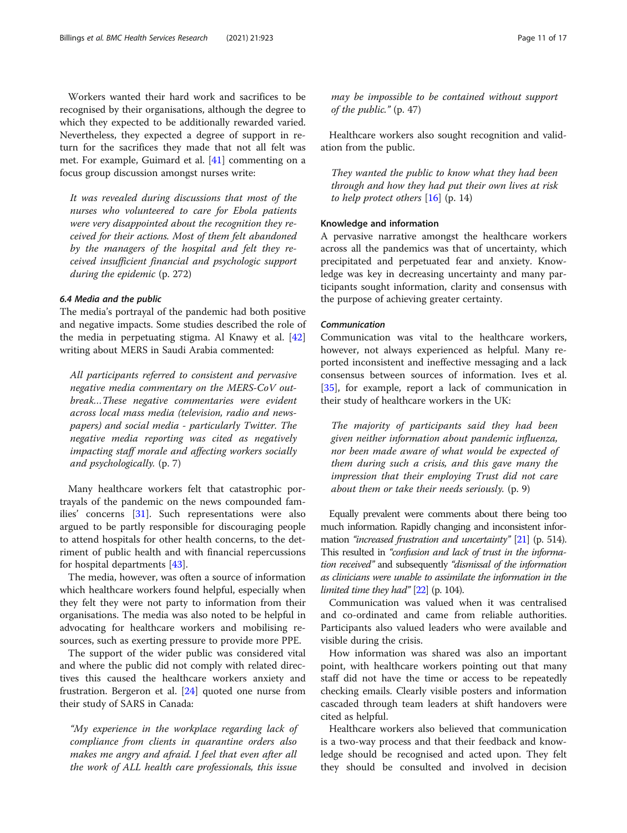Workers wanted their hard work and sacrifices to be recognised by their organisations, although the degree to which they expected to be additionally rewarded varied. Nevertheless, they expected a degree of support in return for the sacrifices they made that not all felt was met. For example, Guimard et al. [\[41\]](#page-15-0) commenting on a focus group discussion amongst nurses write:

It was revealed during discussions that most of the nurses who volunteered to care for Ebola patients were very disappointed about the recognition they received for their actions. Most of them felt abandoned by the managers of the hospital and felt they received insufficient financial and psychologic support during the epidemic (p. 272)

## 6.4 Media and the public

The media's portrayal of the pandemic had both positive and negative impacts. Some studies described the role of the media in perpetuating stigma. Al Knawy et al. [[42](#page-15-0)] writing about MERS in Saudi Arabia commented:

All participants referred to consistent and pervasive negative media commentary on the MERS-CoV outbreak…These negative commentaries were evident across local mass media (television, radio and newspapers) and social media - particularly Twitter. The negative media reporting was cited as negatively impacting staff morale and affecting workers socially and psychologically. (p. 7)

Many healthcare workers felt that catastrophic portrayals of the pandemic on the news compounded families' concerns [[31\]](#page-15-0). Such representations were also argued to be partly responsible for discouraging people to attend hospitals for other health concerns, to the detriment of public health and with financial repercussions for hospital departments [[43](#page-15-0)].

The media, however, was often a source of information which healthcare workers found helpful, especially when they felt they were not party to information from their organisations. The media was also noted to be helpful in advocating for healthcare workers and mobilising resources, such as exerting pressure to provide more PPE.

The support of the wider public was considered vital and where the public did not comply with related directives this caused the healthcare workers anxiety and frustration. Bergeron et al. [\[24](#page-15-0)] quoted one nurse from their study of SARS in Canada:

"My experience in the workplace regarding lack of compliance from clients in quarantine orders also makes me angry and afraid. I feel that even after all the work of ALL health care professionals, this issue

may be impossible to be contained without support of the public." (p. 47)

Healthcare workers also sought recognition and validation from the public.

They wanted the public to know what they had been through and how they had put their own lives at risk to help protect others  $[16]$  $[16]$  $[16]$  (p. 14)

## Knowledge and information

A pervasive narrative amongst the healthcare workers across all the pandemics was that of uncertainty, which precipitated and perpetuated fear and anxiety. Knowledge was key in decreasing uncertainty and many participants sought information, clarity and consensus with the purpose of achieving greater certainty.

### Communication

Communication was vital to the healthcare workers, however, not always experienced as helpful. Many reported inconsistent and ineffective messaging and a lack consensus between sources of information. Ives et al. [[35\]](#page-15-0), for example, report a lack of communication in their study of healthcare workers in the UK:

The majority of participants said they had been given neither information about pandemic influenza, nor been made aware of what would be expected of them during such a crisis, and this gave many the impression that their employing Trust did not care about them or take their needs seriously. (p. 9)

Equally prevalent were comments about there being too much information. Rapidly changing and inconsistent infor-mation "increased frustration and uncertainty" [\[21](#page-15-0)] (p. 514). This resulted in "confusion and lack of trust in the information received" and subsequently "dismissal of the information as clinicians were unable to assimilate the information in the limited time they had"  $[22]$  (p. 104).

Communication was valued when it was centralised and co-ordinated and came from reliable authorities. Participants also valued leaders who were available and visible during the crisis.

How information was shared was also an important point, with healthcare workers pointing out that many staff did not have the time or access to be repeatedly checking emails. Clearly visible posters and information cascaded through team leaders at shift handovers were cited as helpful.

Healthcare workers also believed that communication is a two-way process and that their feedback and knowledge should be recognised and acted upon. They felt they should be consulted and involved in decision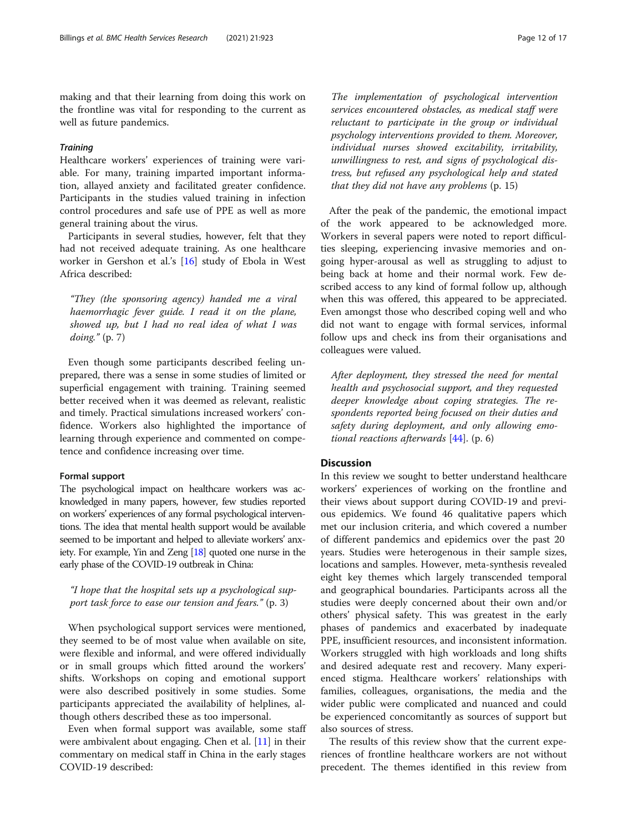making and that their learning from doing this work on the frontline was vital for responding to the current as well as future pandemics.

## **Training**

Healthcare workers' experiences of training were variable. For many, training imparted important information, allayed anxiety and facilitated greater confidence. Participants in the studies valued training in infection control procedures and safe use of PPE as well as more general training about the virus.

Participants in several studies, however, felt that they had not received adequate training. As one healthcare worker in Gershon et al.'s [[16\]](#page-14-0) study of Ebola in West Africa described:

"They (the sponsoring agency) handed me a viral haemorrhagic fever guide. I read it on the plane, showed up, but I had no real idea of what I was doing." (p. 7)

Even though some participants described feeling unprepared, there was a sense in some studies of limited or superficial engagement with training. Training seemed better received when it was deemed as relevant, realistic and timely. Practical simulations increased workers' confidence. Workers also highlighted the importance of learning through experience and commented on competence and confidence increasing over time.

## Formal support

The psychological impact on healthcare workers was acknowledged in many papers, however, few studies reported on workers' experiences of any formal psychological interventions. The idea that mental health support would be available seemed to be important and helped to alleviate workers' anxiety. For example, Yin and Zeng [\[18](#page-14-0)] quoted one nurse in the early phase of the COVID-19 outbreak in China:

"I hope that the hospital sets up a psychological support task force to ease our tension and fears." (p. 3)

When psychological support services were mentioned, they seemed to be of most value when available on site, were flexible and informal, and were offered individually or in small groups which fitted around the workers' shifts. Workshops on coping and emotional support were also described positively in some studies. Some participants appreciated the availability of helplines, although others described these as too impersonal.

Even when formal support was available, some staff were ambivalent about engaging. Chen et al. [[11](#page-14-0)] in their commentary on medical staff in China in the early stages COVID-19 described:

The implementation of psychological intervention services encountered obstacles, as medical staff were reluctant to participate in the group or individual psychology interventions provided to them. Moreover, individual nurses showed excitability, irritability, unwillingness to rest, and signs of psychological distress, but refused any psychological help and stated that they did not have any problems (p. 15)

After the peak of the pandemic, the emotional impact of the work appeared to be acknowledged more. Workers in several papers were noted to report difficulties sleeping, experiencing invasive memories and ongoing hyper-arousal as well as struggling to adjust to being back at home and their normal work. Few described access to any kind of formal follow up, although when this was offered, this appeared to be appreciated. Even amongst those who described coping well and who did not want to engage with formal services, informal follow ups and check ins from their organisations and colleagues were valued.

After deployment, they stressed the need for mental health and psychosocial support, and they requested deeper knowledge about coping strategies. The respondents reported being focused on their duties and safety during deployment, and only allowing emotional reactions afterwards  $[44]$  $[44]$ . (p. 6)

## **Discussion**

In this review we sought to better understand healthcare workers' experiences of working on the frontline and their views about support during COVID-19 and previous epidemics. We found 46 qualitative papers which met our inclusion criteria, and which covered a number of different pandemics and epidemics over the past 20 years. Studies were heterogenous in their sample sizes, locations and samples. However, meta-synthesis revealed eight key themes which largely transcended temporal and geographical boundaries. Participants across all the studies were deeply concerned about their own and/or others' physical safety. This was greatest in the early phases of pandemics and exacerbated by inadequate PPE, insufficient resources, and inconsistent information. Workers struggled with high workloads and long shifts and desired adequate rest and recovery. Many experienced stigma. Healthcare workers' relationships with families, colleagues, organisations, the media and the wider public were complicated and nuanced and could be experienced concomitantly as sources of support but also sources of stress.

The results of this review show that the current experiences of frontline healthcare workers are not without precedent. The themes identified in this review from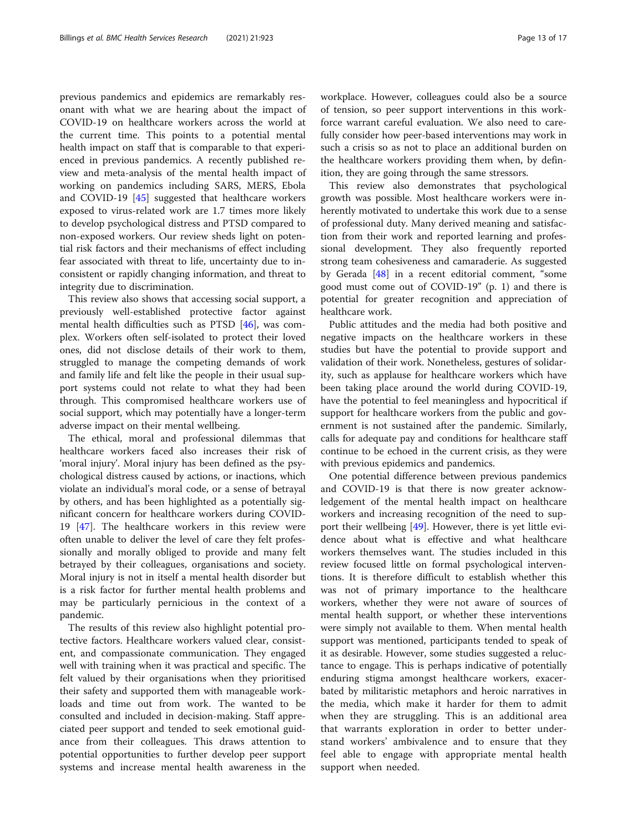previous pandemics and epidemics are remarkably resonant with what we are hearing about the impact of COVID-19 on healthcare workers across the world at the current time. This points to a potential mental health impact on staff that is comparable to that experienced in previous pandemics. A recently published review and meta-analysis of the mental health impact of working on pandemics including SARS, MERS, Ebola and COVID-19 [\[45\]](#page-15-0) suggested that healthcare workers exposed to virus-related work are 1.7 times more likely to develop psychological distress and PTSD compared to non-exposed workers. Our review sheds light on potential risk factors and their mechanisms of effect including fear associated with threat to life, uncertainty due to inconsistent or rapidly changing information, and threat to integrity due to discrimination.

This review also shows that accessing social support, a previously well-established protective factor against mental health difficulties such as PTSD [[46\]](#page-15-0), was complex. Workers often self-isolated to protect their loved ones, did not disclose details of their work to them, struggled to manage the competing demands of work and family life and felt like the people in their usual support systems could not relate to what they had been through. This compromised healthcare workers use of social support, which may potentially have a longer-term adverse impact on their mental wellbeing.

The ethical, moral and professional dilemmas that healthcare workers faced also increases their risk of 'moral injury'. Moral injury has been defined as the psychological distress caused by actions, or inactions, which violate an individual's moral code, or a sense of betrayal by others, and has been highlighted as a potentially significant concern for healthcare workers during COVID-19 [[47](#page-15-0)]. The healthcare workers in this review were often unable to deliver the level of care they felt professionally and morally obliged to provide and many felt betrayed by their colleagues, organisations and society. Moral injury is not in itself a mental health disorder but is a risk factor for further mental health problems and may be particularly pernicious in the context of a pandemic.

The results of this review also highlight potential protective factors. Healthcare workers valued clear, consistent, and compassionate communication. They engaged well with training when it was practical and specific. The felt valued by their organisations when they prioritised their safety and supported them with manageable workloads and time out from work. The wanted to be consulted and included in decision-making. Staff appreciated peer support and tended to seek emotional guidance from their colleagues. This draws attention to potential opportunities to further develop peer support systems and increase mental health awareness in the workplace. However, colleagues could also be a source of tension, so peer support interventions in this workforce warrant careful evaluation. We also need to carefully consider how peer-based interventions may work in such a crisis so as not to place an additional burden on the healthcare workers providing them when, by definition, they are going through the same stressors.

This review also demonstrates that psychological growth was possible. Most healthcare workers were inherently motivated to undertake this work due to a sense of professional duty. Many derived meaning and satisfaction from their work and reported learning and professional development. They also frequently reported strong team cohesiveness and camaraderie. As suggested by Gerada [\[48\]](#page-15-0) in a recent editorial comment, "some good must come out of COVID-19" (p. 1) and there is potential for greater recognition and appreciation of healthcare work.

Public attitudes and the media had both positive and negative impacts on the healthcare workers in these studies but have the potential to provide support and validation of their work. Nonetheless, gestures of solidarity, such as applause for healthcare workers which have been taking place around the world during COVID-19, have the potential to feel meaningless and hypocritical if support for healthcare workers from the public and government is not sustained after the pandemic. Similarly, calls for adequate pay and conditions for healthcare staff continue to be echoed in the current crisis, as they were with previous epidemics and pandemics.

One potential difference between previous pandemics and COVID-19 is that there is now greater acknowledgement of the mental health impact on healthcare workers and increasing recognition of the need to support their wellbeing  $[49]$  $[49]$  $[49]$ . However, there is yet little evidence about what is effective and what healthcare workers themselves want. The studies included in this review focused little on formal psychological interventions. It is therefore difficult to establish whether this was not of primary importance to the healthcare workers, whether they were not aware of sources of mental health support, or whether these interventions were simply not available to them. When mental health support was mentioned, participants tended to speak of it as desirable. However, some studies suggested a reluctance to engage. This is perhaps indicative of potentially enduring stigma amongst healthcare workers, exacerbated by militaristic metaphors and heroic narratives in the media, which make it harder for them to admit when they are struggling. This is an additional area that warrants exploration in order to better understand workers' ambivalence and to ensure that they feel able to engage with appropriate mental health support when needed.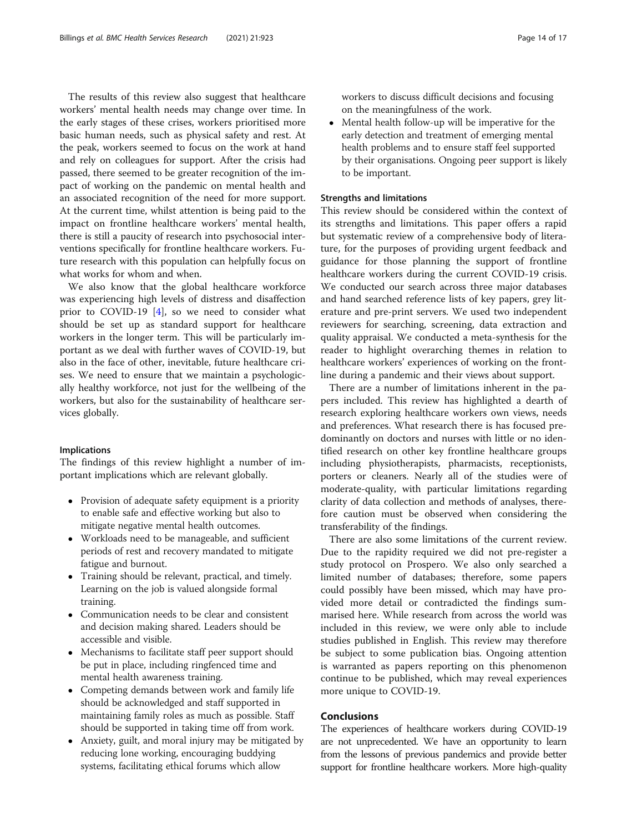The results of this review also suggest that healthcare workers' mental health needs may change over time. In the early stages of these crises, workers prioritised more basic human needs, such as physical safety and rest. At the peak, workers seemed to focus on the work at hand and rely on colleagues for support. After the crisis had passed, there seemed to be greater recognition of the impact of working on the pandemic on mental health and an associated recognition of the need for more support. At the current time, whilst attention is being paid to the impact on frontline healthcare workers' mental health, there is still a paucity of research into psychosocial interventions specifically for frontline healthcare workers. Future research with this population can helpfully focus on what works for whom and when.

We also know that the global healthcare workforce was experiencing high levels of distress and disaffection prior to COVID-19 [\[4](#page-14-0)], so we need to consider what should be set up as standard support for healthcare workers in the longer term. This will be particularly important as we deal with further waves of COVID-19, but also in the face of other, inevitable, future healthcare crises. We need to ensure that we maintain a psychologically healthy workforce, not just for the wellbeing of the workers, but also for the sustainability of healthcare services globally.

#### Implications

The findings of this review highlight a number of important implications which are relevant globally.

- Provision of adequate safety equipment is a priority to enable safe and effective working but also to mitigate negative mental health outcomes.
- Workloads need to be manageable, and sufficient periods of rest and recovery mandated to mitigate fatigue and burnout.
- Training should be relevant, practical, and timely. Learning on the job is valued alongside formal training.
- Communication needs to be clear and consistent and decision making shared. Leaders should be accessible and visible.
- Mechanisms to facilitate staff peer support should be put in place, including ringfenced time and mental health awareness training.
- Competing demands between work and family life should be acknowledged and staff supported in maintaining family roles as much as possible. Staff should be supported in taking time off from work.
- Anxiety, guilt, and moral injury may be mitigated by reducing lone working, encouraging buddying systems, facilitating ethical forums which allow

workers to discuss difficult decisions and focusing on the meaningfulness of the work.

• Mental health follow-up will be imperative for the early detection and treatment of emerging mental health problems and to ensure staff feel supported by their organisations. Ongoing peer support is likely to be important.

## Strengths and limitations

This review should be considered within the context of its strengths and limitations. This paper offers a rapid but systematic review of a comprehensive body of literature, for the purposes of providing urgent feedback and guidance for those planning the support of frontline healthcare workers during the current COVID-19 crisis. We conducted our search across three major databases and hand searched reference lists of key papers, grey literature and pre-print servers. We used two independent reviewers for searching, screening, data extraction and quality appraisal. We conducted a meta-synthesis for the reader to highlight overarching themes in relation to healthcare workers' experiences of working on the frontline during a pandemic and their views about support.

There are a number of limitations inherent in the papers included. This review has highlighted a dearth of research exploring healthcare workers own views, needs and preferences. What research there is has focused predominantly on doctors and nurses with little or no identified research on other key frontline healthcare groups including physiotherapists, pharmacists, receptionists, porters or cleaners. Nearly all of the studies were of moderate-quality, with particular limitations regarding clarity of data collection and methods of analyses, therefore caution must be observed when considering the transferability of the findings.

There are also some limitations of the current review. Due to the rapidity required we did not pre-register a study protocol on Prospero. We also only searched a limited number of databases; therefore, some papers could possibly have been missed, which may have provided more detail or contradicted the findings summarised here. While research from across the world was included in this review, we were only able to include studies published in English. This review may therefore be subject to some publication bias. Ongoing attention is warranted as papers reporting on this phenomenon continue to be published, which may reveal experiences more unique to COVID-19.

## Conclusions

The experiences of healthcare workers during COVID-19 are not unprecedented. We have an opportunity to learn from the lessons of previous pandemics and provide better support for frontline healthcare workers. More high-quality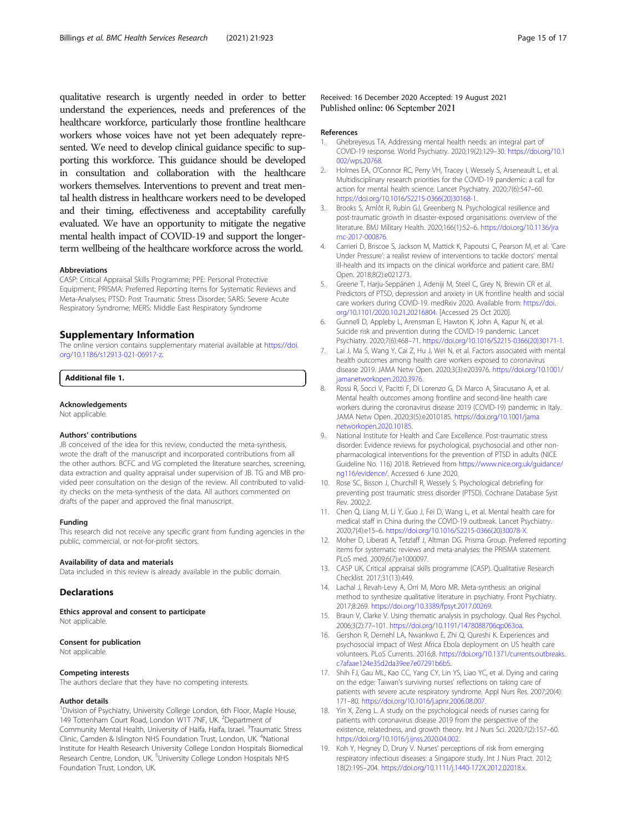<span id="page-14-0"></span>qualitative research is urgently needed in order to better understand the experiences, needs and preferences of the healthcare workforce, particularly those frontline healthcare workers whose voices have not yet been adequately represented. We need to develop clinical guidance specific to supporting this workforce. This guidance should be developed in consultation and collaboration with the healthcare workers themselves. Interventions to prevent and treat mental health distress in healthcare workers need to be developed and their timing, effectiveness and acceptability carefully evaluated. We have an opportunity to mitigate the negative mental health impact of COVID-19 and support the longerterm wellbeing of the healthcare workforce across the world.

#### Abbreviations

CASP: Critical Appraisal Skills Programme; PPE: Personal Protective Equipment; PRISMA: Preferred Reporting Items for Systematic Reviews and Meta-Analyses; PTSD: Post Traumatic Stress Disorder; SARS: Severe Acute Respiratory Syndrome; MERS: Middle East Respiratory Syndrome

## Supplementary Information

The online version contains supplementary material available at [https://doi.](https://doi.org/10.1186/s12913-021-06917-z) [org/10.1186/s12913-021-06917-z.](https://doi.org/10.1186/s12913-021-06917-z)

## Additional file 1.

#### Acknowledgements

Not applicable.

#### Authors' contributions

JB conceived of the idea for this review, conducted the meta-synthesis, wrote the draft of the manuscript and incorporated contributions from all the other authors. BCFC and VG completed the literature searches, screening, data extraction and quality appraisal under supervision of JB. TG and MB provided peer consultation on the design of the review. All contributed to validity checks on the meta-synthesis of the data. All authors commented on drafts of the paper and approved the final manuscript.

#### Funding

This research did not receive any specific grant from funding agencies in the public, commercial, or not-for-profit sectors.

#### Availability of data and materials

Data included in this review is already available in the public domain.

#### **Declarations**

Ethics approval and consent to participate Not applicable.

## Consent for publication

Not applicable.

## Competing interests

The authors declare that they have no competing interests.

#### Author details

<sup>1</sup> Division of Psychiatry, University College London, 6th Floor, Maple House, 149 Tottenham Court Road, London W1T 7NF, UK. <sup>2</sup>Department of Community Mental Health, University of Haifa, Haifa, Israel. <sup>3</sup>Traumatic Stress Clinic, Camden & Islington NHS Foundation Trust, London, UK. <sup>4</sup>National Institute for Health Research University College London Hospitals Biomedical Research Centre, London, UK. <sup>5</sup>University College London Hospitals NHS Foundation Trust, London, UK.

#### References

- 1. Ghebreyesus TA. Addressing mental health needs: an integral part of COVID-19 response. World Psychiatry. 2020;19(2):129–30. [https://doi.org/10.1](https://doi.org/10.1002/wps.20768) [002/wps.20768](https://doi.org/10.1002/wps.20768).
- 2. Holmes EA, O'Connor RC, Perry VH, Tracey I, Wessely S, Arseneault L, et al. Multidisciplinary research priorities for the COVID-19 pandemic: a call for action for mental health science. Lancet Psychiatry. 2020;7(6):547–60. [https://doi.org/10.1016/S2215-0366\(20\)30168-1.](https://doi.org/10.1016/S2215-0366(20)30168-1)
- 3. Brooks S, Amlôt R, Rubin GJ, Greenberg N. Psychological resilience and post-traumatic growth in disaster-exposed organisations: overview of the literature. BMJ Military Health. 2020;166(1):52–6. [https://doi.org/10.1136/jra](https://doi.org/10.1136/jramc-2017-000876) [mc-2017-000876.](https://doi.org/10.1136/jramc-2017-000876)
- 4. Carrieri D, Briscoe S, Jackson M, Mattick K, Papoutsi C, Pearson M, et al. 'Care Under Pressure': a realist review of interventions to tackle doctors' mental ill-health and its impacts on the clinical workforce and patient care. BMJ Open. 2018;8(2):e021273.
- 5. Greene T, Harju-Seppänen J, Adeniji M, Steel C, Grey N, Brewin CR et al. Predictors of PTSD, depression and anxiety in UK frontline health and social care workers during COVID-19. medRxiv 2020. Available from: [https://doi.](https://doi.org/10.1101/2020.10.21.20216804) [org/10.1101/2020.10.21.20216804](https://doi.org/10.1101/2020.10.21.20216804). [Accessed 25 Oct 2020].
- Gunnell D, Appleby L, Arensman E, Hawton K, John A, Kapur N, et al. Suicide risk and prevention during the COVID-19 pandemic. Lancet Psychiatry. 2020;7(6):468–71. [https://doi.org/10.1016/S2215-0366\(20\)30171-1.](https://doi.org/10.1016/S2215-0366(20)30171-1)
- 7. Lai J, Ma S, Wang Y, Cai Z, Hu J, Wei N, et al. Factors associated with mental health outcomes among health care workers exposed to coronavirus disease 2019. JAMA Netw Open. 2020;3(3):e203976. [https://doi.org/10.1001/](https://doi.org/10.1001/jamanetworkopen.2020.3976) [jamanetworkopen.2020.3976](https://doi.org/10.1001/jamanetworkopen.2020.3976).
- 8. Rossi R, Socci V, Pacitti F, Di Lorenzo G, Di Marco A, Siracusano A, et al. Mental health outcomes among frontline and second-line health care workers during the coronavirus disease 2019 (COVID-19) pandemic in Italy. JAMA Netw Open. 2020;3(5):e2010185. [https://doi.org/10.1001/jama](https://doi.org/10.1001/jamanetworkopen.2020.10185) [networkopen.2020.10185.](https://doi.org/10.1001/jamanetworkopen.2020.10185)
- 9. National Institute for Health and Care Excellence. Post-traumatic stress disorder: Evidence reviews for psychological, psychosocial and other nonpharmacological interventions for the prevention of PTSD in adults (NICE Guideline No. 116) 2018. Retrieved from [https://www.nice.org.uk/guidance/](https://www.nice.org.uk/guidance/ng116/evidence/) [ng116/evidence/](https://www.nice.org.uk/guidance/ng116/evidence/). Accessed 6 June 2020.
- 10. Rose SC, Bisson J, Churchill R, Wessely S. Psychological debriefing for preventing post traumatic stress disorder (PTSD). Cochrane Database Syst Rev. 2002;2.
- 11. Chen Q, Liang M, Li Y, Guo J, Fei D, Wang L, et al. Mental health care for medical staff in China during the COVID-19 outbreak. Lancet Psychiatry. 2020;7(4):e15–6. [https://doi.org/10.1016/S2215-0366\(20\)30078-X](https://doi.org/10.1016/S2215-0366(20)30078-X).
- 12. Moher D, Liberati A, Tetzlaff J, Altman DG. Prisma Group. Preferred reporting items for systematic reviews and meta-analyses: the PRISMA statement. PLoS med. 2009;6(7):e1000097.
- 13. CASP UK. Critical appraisal skills programme (CASP). Qualitative Research Checklist. 2017;31(13):449.
- 14. Lachal J, Revah-Levy A, Orri M, Moro MR. Meta-synthesis: an original method to synthesize qualitative literature in psychiatry. Front Psychiatry. 2017;8:269. [https://doi.org/10.3389/fpsyt.2017.00269.](https://doi.org/10.3389/fpsyt.2017.00269)
- 15. Braun V, Clarke V. Using thematic analysis in psychology. Qual Res Psychol. 2006;3(2):77–101. [https://doi.org/10.1191/1478088706qp063oa.](https://doi.org/10.1191/1478088706qp063oa)
- 16. Gershon R, Dernehl LA, Nwankwo E, Zhi Q, Qureshi K. Experiences and psychosocial impact of West Africa Ebola deployment on US health care volunteers. PLoS Currents. 2016;8. [https://doi.org/10.1371/currents.outbreaks.](https://doi.org/10.1371/currents.outbreaks.c7afaae124e35d2da39ee7e07291b6b5) [c7afaae124e35d2da39ee7e07291b6b5.](https://doi.org/10.1371/currents.outbreaks.c7afaae124e35d2da39ee7e07291b6b5)
- 17. Shih FJ, Gau ML, Kao CC, Yang CY, Lin YS, Liao YC, et al. Dying and caring on the edge: Taiwan's surviving nurses' reflections on taking care of patients with severe acute respiratory syndrome. Appl Nurs Res. 2007;20(4): 171–80. [https://doi.org/10.1016/j.apnr.2006.08.007.](https://doi.org/10.1016/j.apnr.2006.08.007)
- 18. Yin X, Zeng L. A study on the psychological needs of nurses caring for patients with coronavirus disease 2019 from the perspective of the existence, relatedness, and growth theory. Int J Nurs Sci. 2020;7(2):157–60. [https://doi.org/10.1016/j.ijnss.2020.04.002.](https://doi.org/10.1016/j.ijnss.2020.04.002)
- 19. Koh Y, Hegney D, Drury V. Nurses' perceptions of risk from emerging respiratory infectious diseases: a Singapore study. Int J Nurs Pract. 2012; 18(2):195–204. <https://doi.org/10.1111/j.1440-172X.2012.02018.x>.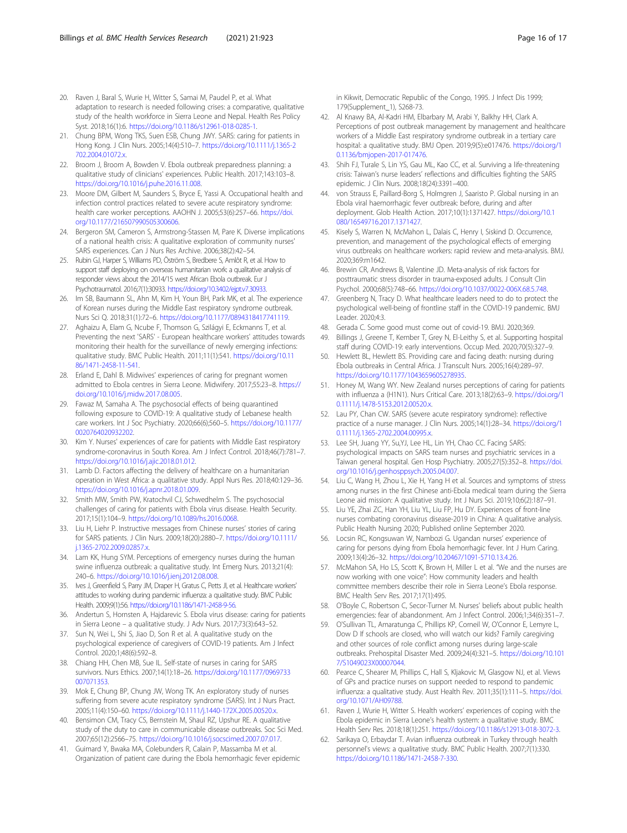- <span id="page-15-0"></span>20. Raven J, Baral S, Wurie H, Witter S, Samai M, Paudel P, et al. What adaptation to research is needed following crises: a comparative, qualitative study of the health workforce in Sierra Leone and Nepal. Health Res Policy Syst. 2018;16(1):6. <https://doi.org/10.1186/s12961-018-0285-1>.
- 21. Chung BPM, Wong TKS, Suen ESB, Chung JWY. SARS: caring for patients in Hong Kong. J Clin Nurs. 2005;14(4):510–7. [https://doi.org/10.1111/j.1365-2](https://doi.org/10.1111/j.1365-2702.2004.01072.x) [702.2004.01072.x](https://doi.org/10.1111/j.1365-2702.2004.01072.x).
- 22. Broom J, Broom A, Bowden V. Ebola outbreak preparedness planning: a qualitative study of clinicians' experiences. Public Health. 2017;143:103–8. [https://doi.org/10.1016/j.puhe.2016.11.008.](https://doi.org/10.1016/j.puhe.2016.11.008)
- 23. Moore DM, Gilbert M, Saunders S, Bryce E, Yassi A. Occupational health and infection control practices related to severe acute respiratory syndrome: health care worker perceptions. AAOHN J. 2005;53(6):257–66. [https://doi.](https://doi.org/10.1177/216507990505300606) [org/10.1177/216507990505300606](https://doi.org/10.1177/216507990505300606).
- 24. Bergeron SM, Cameron S, Armstrong-Stassen M, Pare K. Diverse implications of a national health crisis: A qualitative exploration of community nurses' SARS experiences. Can J Nurs Res Archive. 2006;38(2):42–54.
- 25. Rubin GJ, Harper S, Williams PD, Öström S, Bredbere S, Amlôt R, et al. How to support staff deploying on overseas humanitarian work: a qualitative analysis of responder views about the 2014/15 west African Ebola outbreak. Eur J Psychotraumatol. 2016;7(1):30933. [https://doi.org/10.3402/ejpt.v7.30933.](https://doi.org/10.3402/ejpt.v7.30933)
- 26. Im SB, Baumann SL, Ahn M, Kim H, Youn BH, Park MK, et al. The experience of Korean nurses during the Middle East respiratory syndrome outbreak. Nurs Sci Q. 2018;31(1):72–6. [https://doi.org/10.1177/0894318417741119.](https://doi.org/10.1177/0894318417741119)
- 27. Aghaizu A, Elam G, Ncube F, Thomson G, Szilágyi E, Eckmanns T, et al. Preventing the next 'SARS' - European healthcare workers' attitudes towards monitoring their health for the surveillance of newly emerging infections: qualitative study. BMC Public Health. 2011;11(1):541. [https://doi.org/10.11](https://doi.org/10.1186/1471-2458-11-541) [86/1471-2458-11-541.](https://doi.org/10.1186/1471-2458-11-541)
- 28. Erland E, Dahl B. Midwives' experiences of caring for pregnant women admitted to Ebola centres in Sierra Leone. Midwifery. 2017;55:23–8. [https://](https://doi.org/10.1016/j.midw.2017.08.005) [doi.org/10.1016/j.midw.2017.08.005](https://doi.org/10.1016/j.midw.2017.08.005).
- 29. Fawaz M, Samaha A. The psychosocial effects of being quarantined following exposure to COVID-19: A qualitative study of Lebanese health care workers. Int J Soc Psychiatry. 2020;66(6);560–5. [https://doi.org/10.1177/](https://doi.org/10.1177/0020764020932202) [0020764020932202](https://doi.org/10.1177/0020764020932202).
- 30. Kim Y. Nurses' experiences of care for patients with Middle East respiratory syndrome-coronavirus in South Korea. Am J Infect Control. 2018;46(7):781–7. <https://doi.org/10.1016/j.ajic.2018.01.012>.
- 31. Lamb D. Factors affecting the delivery of healthcare on a humanitarian operation in West Africa: a qualitative study. Appl Nurs Res. 2018;40:129–36. [https://doi.org/10.1016/j.apnr.2018.01.009.](https://doi.org/10.1016/j.apnr.2018.01.009)
- 32. Smith MW, Smith PW, Kratochvil CJ, Schwedhelm S. The psychosocial challenges of caring for patients with Ebola virus disease. Health Security. 2017;15(1):104–9. <https://doi.org/10.1089/hs.2016.0068>.
- 33. Liu H, Liehr P. Instructive messages from Chinese nurses' stories of caring for SARS patients. J Clin Nurs. 2009;18(20):2880–7. [https://doi.org/10.1111/](https://doi.org/10.1111/j.1365-2702.2009.02857.x) [j.1365-2702.2009.02857.x](https://doi.org/10.1111/j.1365-2702.2009.02857.x).
- 34. Lam KK, Hung SYM. Perceptions of emergency nurses during the human swine influenza outbreak: a qualitative study. Int Emerg Nurs. 2013;21(4): 240–6. [https://doi.org/10.1016/j.ienj.2012.08.008.](https://doi.org/10.1016/j.ienj.2012.08.008)
- 35. Ives J, Greenfield S, Parry JM, Draper H, Gratus C, Petts JI, et al. Healthcare workers' attitudes to working during pandemic influenza: a qualitative study. BMC Public Health. 2009;9(1):56. <https://doi.org/10.1186/1471-2458-9-56>.
- 36. Andertun S, Hornsten A, Hajdarevic S. Ebola virus disease: caring for patients in Sierra Leone – a qualitative study. J Adv Nurs. 2017;73(3):643–52.
- 37. Sun N, Wei L, Shi S, Jiao D, Son R et al. A qualitative study on the psychological experience of caregivers of COVID-19 patients. Am J Infect Control. 2020;1;48(6):592–8.
- 38. Chiang HH, Chen MB, Sue IL. Self-state of nurses in caring for SARS survivors. Nurs Ethics. 2007;14(1):18–26. [https://doi.org/10.1177/0969733](https://doi.org/10.1177/0969733007071353) [007071353](https://doi.org/10.1177/0969733007071353).
- 39. Mok E, Chung BP, Chung JW, Wong TK. An exploratory study of nurses suffering from severe acute respiratory syndrome (SARS). Int J Nurs Pract. 2005;11(4):150–60. [https://doi.org/10.1111/j.1440-172X.2005.00520.x.](https://doi.org/10.1111/j.1440-172X.2005.00520.x)
- 40. Bensimon CM, Tracy CS, Bernstein M, Shaul RZ, Upshur RE. A qualitative study of the duty to care in communicable disease outbreaks. Soc Sci Med. 2007;65(12):2566–75. <https://doi.org/10.1016/j.socscimed.2007.07.017>.
- 41. Guimard Y, Bwaka MA, Colebunders R, Calain P, Massamba M et al. Organization of patient care during the Ebola hemorrhagic fever epidemic

in Kikwit, Democratic Republic of the Congo, 1995. J Infect Dis 1999; 179(Supplement\_1), S268-73.

- 42. Al Knawy BA, Al-Kadri HM, Elbarbary M, Arabi Y, Balkhy HH, Clark A. Perceptions of post outbreak management by management and healthcare workers of a Middle East respiratory syndrome outbreak in a tertiary care hospital: a qualitative study. BMJ Open. 2019;9(5):e017476. [https://doi.org/1](https://doi.org/10.1136/bmjopen-2017-017476) [0.1136/bmjopen-2017-017476.](https://doi.org/10.1136/bmjopen-2017-017476)
- 43. Shih FJ, Turale S, Lin YS, Gau ML, Kao CC, et al. Surviving a life-threatening crisis: Taiwan's nurse leaders' reflections and difficulties fighting the SARS epidemic. J Clin Nurs. 2008;18(24):3391–400.
- 44. von Strauss E, Paillard-Borg S, Holmgren J, Saaristo P. Global nursing in an Ebola viral haemorrhagic fever outbreak: before, during and after deployment. Glob Health Action. 2017;10(1):1371427. [https://doi.org/10.1](https://doi.org/10.1080/16549716.2017.1371427) [080/16549716.2017.1371427.](https://doi.org/10.1080/16549716.2017.1371427)
- 45. Kisely S, Warren N, McMahon L, Dalais C, Henry I, Siskind D. Occurrence, prevention, and management of the psychological effects of emerging virus outbreaks on healthcare workers: rapid review and meta-analysis. BMJ. 2020;369:m1642.
- 46. Brewin CR, Andrews B, Valentine JD. Meta-analysis of risk factors for posttraumatic stress disorder in trauma-exposed adults. J Consult Clin Psychol. 2000;68(5):748–66. <https://doi.org/10.1037/0022-006X.68.5.748>.
- 47. Greenberg N, Tracy D. What healthcare leaders need to do to protect the psychological well-being of frontline staff in the COVID-19 pandemic. BMJ Leader. 2020;4:3.
- 48. Gerada C. Some good must come out of covid-19. BMJ. 2020;369.
- 49. Billings J, Greene T, Kember T, Grey N, El-Leithy S, et al. Supporting hospital staff during COVID-19: early interventions. Occup Med. 2020;70(5):327–9.
- 50. Hewlett BL, Hewlett BS. Providing care and facing death: nursing during Ebola outbreaks in Central Africa. J Transcult Nurs. 2005;16(4):289–97. [https://doi.org/10.1177/1043659605278935.](https://doi.org/10.1177/1043659605278935)
- 51. Honey M, Wang WY. New Zealand nurses perceptions of caring for patients with influenza a (H1N1). Nurs Critical Care. 2013;18(2):63–9. [https://doi.org/1](https://doi.org/10.1111/j.1478-5153.2012.00520.x) [0.1111/j.1478-5153.2012.00520.x.](https://doi.org/10.1111/j.1478-5153.2012.00520.x)
- 52. Lau PY, Chan CW. SARS (severe acute respiratory syndrome): reflective practice of a nurse manager. J Clin Nurs. 2005;14(1):28–34. [https://doi.org/1](https://doi.org/10.1111/j.1365-2702.2004.00995.x) [0.1111/j.1365-2702.2004.00995.x.](https://doi.org/10.1111/j.1365-2702.2004.00995.x)
- 53. Lee SH, Juang YY, Su,YJ, Lee HL, Lin YH, Chao CC. Facing SARS: psychological impacts on SARS team nurses and psychiatric services in a Taiwan general hospital. Gen Hosp Psychiatry. 2005;27(5):352–8. [https://doi.](https://doi.org/10.1016/j.genhosppsych.2005.04.007) [org/10.1016/j.genhosppsych.2005.04.007](https://doi.org/10.1016/j.genhosppsych.2005.04.007).
- 54. Liu C, Wang H, Zhou L, Xie H, Yang H et al. Sources and symptoms of stress among nurses in the first Chinese anti-Ebola medical team during the Sierra Leone aid mission: A qualitative study. Int J Nurs Sci. 2019;10;6(2):187–91.
- 55. Liu YE, Zhai ZC, Han YH, Liu YL, Liu FP, Hu DY. Experiences of front-line nurses combating coronavirus disease-2019 in China: A qualitative analysis. Public Health Nursing 2020; Published online September 2020.
- 56. Locsin RC, Kongsuwan W, Nambozi G. Ugandan nurses' experience of caring for persons dying from Ebola hemorrhagic fever. Int J Hum Caring. 2009;13(4):26–32. [https://doi.org/10.20467/1091-5710.13.4.26.](https://doi.org/10.20467/1091-5710.13.4.26)
- 57. McMahon SA, Ho LS, Scott K, Brown H, Miller L et al. "We and the nurses are now working with one voice": How community leaders and health committee members describe their role in Sierra Leone's Ebola response. BMC Health Serv Res. 2017;17(1):495.
- 58. O'Boyle C, Robertson C, Secor-Turner M. Nurses' beliefs about public health emergencies: fear of abandonment. Am J Infect Control. 2006;1;34(6):351–7.
- 59. O'Sullivan TL, Amaratunga C, Phillips KP, Corneil W, O'Connor E, Lemyre L, Dow D If schools are closed, who will watch our kids? Family caregiving and other sources of role conflict among nurses during large-scale outbreaks. Prehospital Disaster Med. 2009;24(4):321–5. [https://doi.org/10.101](https://doi.org/10.1017/S1049023X00007044) [7/S1049023X00007044.](https://doi.org/10.1017/S1049023X00007044)
- 60. Pearce C, Shearer M, Phillips C, Hall S, Kljakovic M, Glasgow NJ, et al. Views of GPs and practice nurses on support needed to respond to pandemic influenza: a qualitative study. Aust Health Rev. 2011;35(1):111–5. [https://doi.](https://doi.org/10.1071/AH09788) [org/10.1071/AH09788.](https://doi.org/10.1071/AH09788)
- 61. Raven J, Wurie H, Witter S. Health workers' experiences of coping with the Ebola epidemic in Sierra Leone's health system: a qualitative study. BMC Health Serv Res. 2018;18(1):251. <https://doi.org/10.1186/s12913-018-3072-3>.
- 62. Sarikaya O, Erbaydar T. Avian influenza outbreak in Turkey through health personnel's views: a qualitative study. BMC Public Health. 2007;7(1):330. <https://doi.org/10.1186/1471-2458-7-330>.